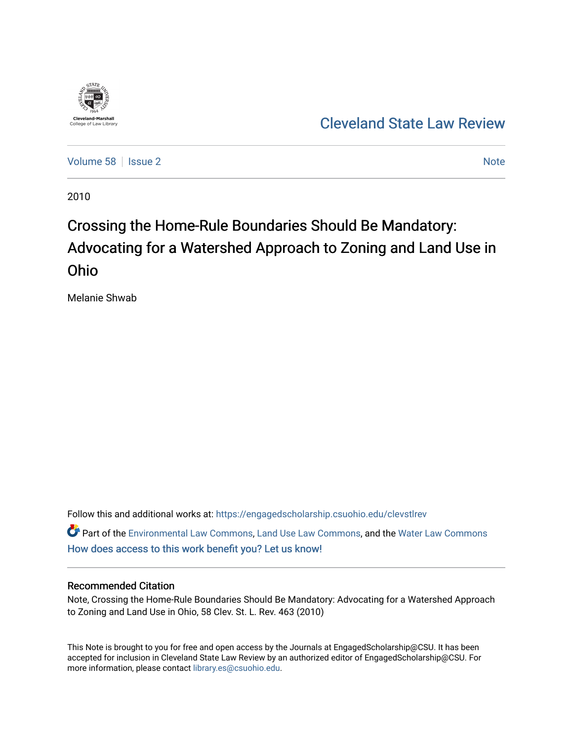

# [Cleveland State Law Review](https://engagedscholarship.csuohio.edu/clevstlrev)

[Volume 58](https://engagedscholarship.csuohio.edu/clevstlrev/vol58) | [Issue 2](https://engagedscholarship.csuohio.edu/clevstlrev/vol58/iss2) [Note](https://engagedscholarship.csuohio.edu/clevstlrev/vol58/iss2/8) 2 Note 2 Note 2 Note 2 Note 2 Note 2 Note 2 Note 2 Note 2 Note 2 Note 2 Note 2 Note 2 Note 2 Note 2 Note 2 Note 2 Note 2 Note 2 Note 2 Note 2 Note 2 Note 2 Note 2 Note 2 Note 2 Note 2 Note 2 Note 2

2010

# Crossing the Home-Rule Boundaries Should Be Mandatory: Advocating for a Watershed Approach to Zoning and Land Use in Ohio

Melanie Shwab

Follow this and additional works at: [https://engagedscholarship.csuohio.edu/clevstlrev](https://engagedscholarship.csuohio.edu/clevstlrev?utm_source=engagedscholarship.csuohio.edu%2Fclevstlrev%2Fvol58%2Fiss2%2F8&utm_medium=PDF&utm_campaign=PDFCoverPages)

Part of the [Environmental Law Commons](http://network.bepress.com/hgg/discipline/599?utm_source=engagedscholarship.csuohio.edu%2Fclevstlrev%2Fvol58%2Fiss2%2F8&utm_medium=PDF&utm_campaign=PDFCoverPages), [Land Use Law Commons,](http://network.bepress.com/hgg/discipline/852?utm_source=engagedscholarship.csuohio.edu%2Fclevstlrev%2Fvol58%2Fiss2%2F8&utm_medium=PDF&utm_campaign=PDFCoverPages) and the [Water Law Commons](http://network.bepress.com/hgg/discipline/887?utm_source=engagedscholarship.csuohio.edu%2Fclevstlrev%2Fvol58%2Fiss2%2F8&utm_medium=PDF&utm_campaign=PDFCoverPages) [How does access to this work benefit you? Let us know!](http://library.csuohio.edu/engaged/)

## Recommended Citation

Note, Crossing the Home-Rule Boundaries Should Be Mandatory: Advocating for a Watershed Approach to Zoning and Land Use in Ohio, 58 Clev. St. L. Rev. 463 (2010)

This Note is brought to you for free and open access by the Journals at EngagedScholarship@CSU. It has been accepted for inclusion in Cleveland State Law Review by an authorized editor of EngagedScholarship@CSU. For more information, please contact [library.es@csuohio.edu](mailto:library.es@csuohio.edu).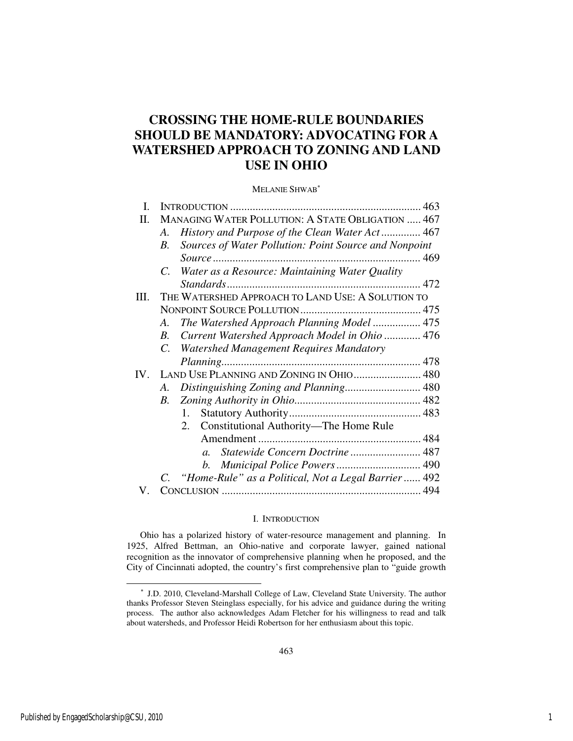## **CROSSING THE HOME-RULE BOUNDARIES SHOULD BE MANDATORY: ADVOCATING FOR A WATERSHED APPROACH TO ZONING AND LAND USE IN OHIO**

## MELANIE SHWAB<sup>∗</sup>

| I. |                                                               |  |
|----|---------------------------------------------------------------|--|
| Π. | MANAGING WATER POLLUTION: A STATE OBLIGATION  467             |  |
|    | History and Purpose of the Clean Water Act 467<br>A.          |  |
|    | Sources of Water Pollution: Point Source and Nonpoint<br>В.   |  |
|    |                                                               |  |
|    | Water as a Resource: Maintaining Water Quality<br>$C_{-}$     |  |
|    |                                                               |  |
| Ш. | THE WATERSHED APPROACH TO LAND USE: A SOLUTION TO             |  |
|    |                                                               |  |
|    | The Watershed Approach Planning Model  475<br>A.              |  |
|    | Current Watershed Approach Model in Ohio  476<br>B.           |  |
|    | <b>Watershed Management Requires Mandatory</b><br>$C_{\cdot}$ |  |
|    |                                                               |  |
|    |                                                               |  |
|    | Distinguishing Zoning and Planning 480<br>A.                  |  |
|    | $B_{-}$                                                       |  |
|    |                                                               |  |
|    | Constitutional Authority—The Home Rule<br>2.                  |  |
|    |                                                               |  |
|    | Statewide Concern Doctrine  487<br>$\overline{a}$ .           |  |
|    | b.                                                            |  |
|    | C. "Home-Rule" as a Political, Not a Legal Barrier  492       |  |
| V. |                                                               |  |

## I. INTRODUCTION

Ohio has a polarized history of water-resource management and planning. In 1925, Alfred Bettman, an Ohio-native and corporate lawyer, gained national recognition as the innovator of comprehensive planning when he proposed, and the City of Cincinnati adopted, the country's first comprehensive plan to "guide growth

<sup>∗</sup> J.D. 2010, Cleveland-Marshall College of Law, Cleveland State University. The author thanks Professor Steven Steinglass especially, for his advice and guidance during the writing process. The author also acknowledges Adam Fletcher for his willingness to read and talk about watersheds, and Professor Heidi Robertson for her enthusiasm about this topic.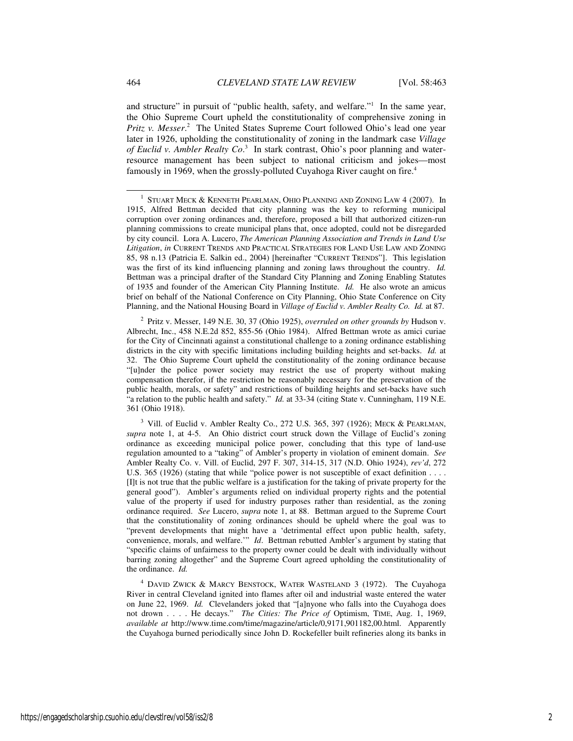and structure" in pursuit of "public health, safety, and welfare."<sup>1</sup> In the same year, the Ohio Supreme Court upheld the constitutionality of comprehensive zoning in Pritz v. Messer.<sup>2</sup> The United States Supreme Court followed Ohio's lead one year later in 1926, upholding the constitutionality of zoning in the landmark case *Village of Euclid v. Ambler Realty Co*. 3 In stark contrast, Ohio's poor planning and waterresource management has been subject to national criticism and jokes—most famously in 1969, when the grossly-polluted Cuyahoga River caught on fire.<sup>4</sup>

2 Pritz v. Messer, 149 N.E. 30, 37 (Ohio 1925), *overruled on other grounds by* Hudson v. Albrecht, Inc., 458 N.E.2d 852, 855-56 (Ohio 1984). Alfred Bettman wrote as amici curiae for the City of Cincinnati against a constitutional challenge to a zoning ordinance establishing districts in the city with specific limitations including building heights and set-backs. *Id.* at 32. The Ohio Supreme Court upheld the constitutionality of the zoning ordinance because "[u]nder the police power society may restrict the use of property without making compensation therefor, if the restriction be reasonably necessary for the preservation of the public health, morals, or safety" and restrictions of building heights and set-backs have such "a relation to the public health and safety." *Id.* at 33-34 (citing State v. Cunningham, 119 N.E. 361 (Ohio 1918).

 $3$  Vill. of Euclid v. Ambler Realty Co., 272 U.S. 365, 397 (1926); MECK & PEARLMAN, *supra* note 1, at 4-5. An Ohio district court struck down the Village of Euclid's zoning ordinance as exceeding municipal police power, concluding that this type of land-use regulation amounted to a "taking" of Ambler's property in violation of eminent domain. *See*  Ambler Realty Co. v. Vill. of Euclid, 297 F. 307, 314-15, 317 (N.D. Ohio 1924), *rev'd*, 272 U.S. 365 (1926) (stating that while "police power is not susceptible of exact definition . . . . [I]t is not true that the public welfare is a justification for the taking of private property for the general good"). Ambler's arguments relied on individual property rights and the potential value of the property if used for industry purposes rather than residential, as the zoning ordinance required. *See* Lucero, *supra* note 1, at 88. Bettman argued to the Supreme Court that the constitutionality of zoning ordinances should be upheld where the goal was to "prevent developments that might have a 'detrimental effect upon public health, safety, convenience, morals, and welfare.'" *Id*. Bettman rebutted Ambler's argument by stating that "specific claims of unfairness to the property owner could be dealt with individually without barring zoning altogether" and the Supreme Court agreed upholding the constitutionality of the ordinance. *Id.*

4 DAVID ZWICK & MARCY BENSTOCK, WATER WASTELAND 3 (1972). The Cuyahoga River in central Cleveland ignited into flames after oil and industrial waste entered the water on June 22, 1969. *Id.* Clevelanders joked that "[a]nyone who falls into the Cuyahoga does not drown . . . . He decays." *The Cities: The Price of* Optimism, TIME, Aug. 1, 1969, *available at* http://www.time.com/time/magazine/article/0,9171,901182,00.html. Apparently the Cuyahoga burned periodically since John D. Rockefeller built refineries along its banks in

<sup>&</sup>lt;sup>1</sup> STUART MECK & KENNETH PEARLMAN, OHIO PLANNING AND ZONING LAW 4 (2007). In 1915, Alfred Bettman decided that city planning was the key to reforming municipal corruption over zoning ordinances and, therefore, proposed a bill that authorized citizen-run planning commissions to create municipal plans that, once adopted, could not be disregarded by city council. Lora A. Lucero, *The American Planning Association and Trends in Land Use Litigation*, *in* CURRENT TRENDS AND PRACTICAL STRATEGIES FOR LAND USE LAW AND ZONING 85, 98 n.13 (Patricia E. Salkin ed., 2004) [hereinafter "CURRENT TRENDS"]. This legislation was the first of its kind influencing planning and zoning laws throughout the country. *Id.*  Bettman was a principal drafter of the Standard City Planning and Zoning Enabling Statutes of 1935 and founder of the American City Planning Institute. *Id.* He also wrote an amicus brief on behalf of the National Conference on City Planning, Ohio State Conference on City Planning, and the National Housing Board in *Village of Euclid v. Ambler Realty Co. Id.* at 87.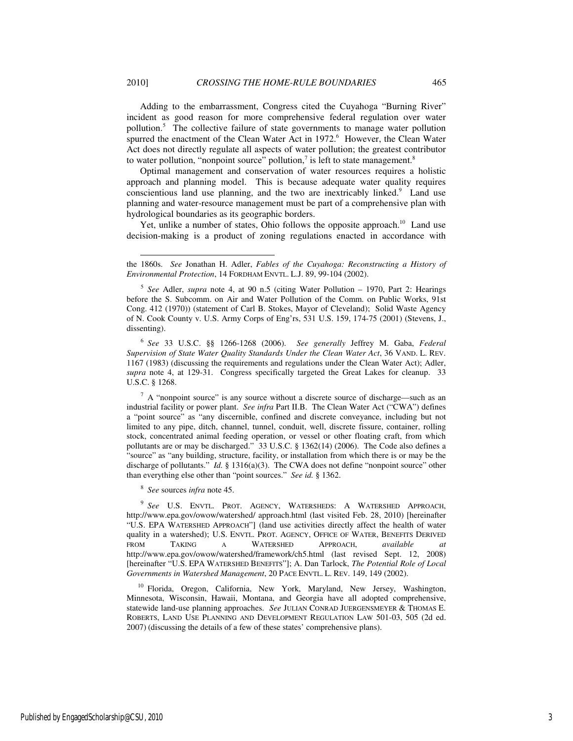Adding to the embarrassment, Congress cited the Cuyahoga "Burning River" incident as good reason for more comprehensive federal regulation over water pollution.<sup>5</sup> The collective failure of state governments to manage water pollution spurred the enactment of the Clean Water Act in 1972.<sup>6</sup> However, the Clean Water Act does not directly regulate all aspects of water pollution; the greatest contributor to water pollution, "nonpoint source" pollution, $\lambda$  is left to state management.<sup>8</sup>

Optimal management and conservation of water resources requires a holistic approach and planning model. This is because adequate water quality requires conscientious land use planning, and the two are inextricably linked.<sup>9</sup> Land use planning and water-resource management must be part of a comprehensive plan with hydrological boundaries as its geographic borders.

Yet, unlike a number of states, Ohio follows the opposite approach.<sup>10</sup> Land use decision-making is a product of zoning regulations enacted in accordance with

6 *See* 33 U.S.C. §§ 1266-1268 (2006). *See generally* Jeffrey M. Gaba, *Federal Supervision of State Water Quality Standards Under the Clean Water Act*, 36 VAND. L. REV. 1167 (1983) (discussing the requirements and regulations under the Clean Water Act); Adler, *supra* note 4, at 129-31. Congress specifically targeted the Great Lakes for cleanup. 33 U.S.C. § 1268.

 $7 A$  "nonpoint source" is any source without a discrete source of discharge—such as an industrial facility or power plant. *See infra* Part II.B. The Clean Water Act ("CWA") defines a "point source" as "any discernible, confined and discrete conveyance, including but not limited to any pipe, ditch, channel, tunnel, conduit, well, discrete fissure, container, rolling stock, concentrated animal feeding operation, or vessel or other floating craft, from which pollutants are or may be discharged." 33 U.S.C. § 1362(14) (2006). The Code also defines a "source" as "any building, structure, facility, or installation from which there is or may be the discharge of pollutants." *Id.* § 1316(a)(3). The CWA does not define "nonpoint source" other than everything else other than "point sources." *See id.* § 1362.

8 *See* sources *infra* note 45.

9 *See* U.S. ENVTL. PROT. AGENCY, WATERSHEDS: A WATERSHED APPROACH, http://www.epa.gov/owow/watershed/ approach.html (last visited Feb. 28, 2010) [hereinafter "U.S. EPA WATERSHED APPROACH"] (land use activities directly affect the health of water quality in a watershed); U.S. ENVTL. PROT. AGENCY, OFFICE OF WATER, BENEFITS DERIVED FROM TAKING A WATERSHED APPROACH, available at FROM TAKING A WATERSHED APPROACH, *available at* http://www.epa.gov/owow/watershed/framework/ch5.html (last revised Sept. 12, 2008) [hereinafter "U.S. EPA WATERSHED BENEFITS"]; A. Dan Tarlock, *The Potential Role of Local Governments in Watershed Management*, 20 PACE ENVTL. L. REV. 149, 149 (2002).

<sup>10</sup> Florida, Oregon, California, New York, Maryland, New Jersey, Washington, Minnesota, Wisconsin, Hawaii, Montana, and Georgia have all adopted comprehensive, statewide land-use planning approaches. *See* JULIAN CONRAD JUERGENSMEYER & THOMAS E. ROBERTS, LAND USE PLANNING AND DEVELOPMENT REGULATION LAW 501-03, 505 (2d ed. 2007) (discussing the details of a few of these states' comprehensive plans).

the 1860s. *See* Jonathan H. Adler, *Fables of the Cuyahoga: Reconstructing a History of Environmental Protection*, 14 FORDHAM ENVTL. L.J. 89, 99-104 (2002).

<sup>5</sup> *See* Adler, *supra* note 4, at 90 n.5 (citing Water Pollution – 1970, Part 2: Hearings before the S. Subcomm. on Air and Water Pollution of the Comm. on Public Works, 91st Cong. 412 (1970)) (statement of Carl B. Stokes, Mayor of Cleveland); Solid Waste Agency of N. Cook County v. U.S. Army Corps of Eng'rs, 531 U.S. 159, 174-75 (2001) (Stevens, J., dissenting).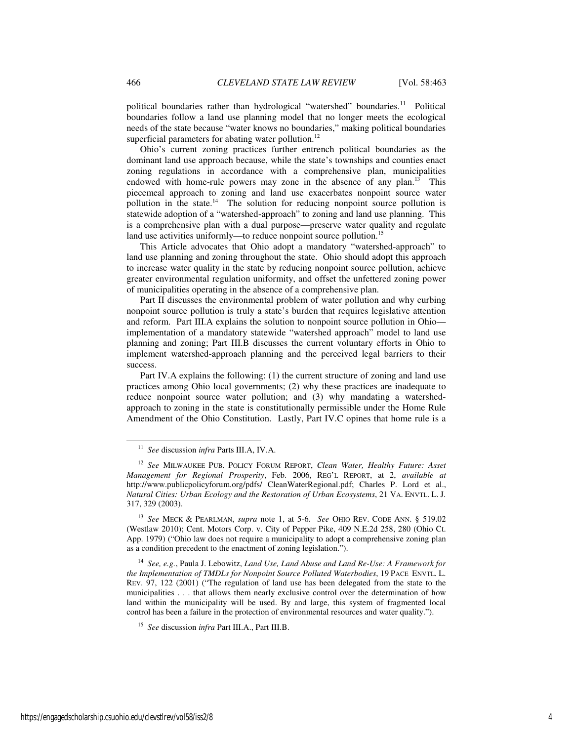political boundaries rather than hydrological "watershed" boundaries.<sup>11</sup> Political boundaries follow a land use planning model that no longer meets the ecological needs of the state because "water knows no boundaries," making political boundaries superficial parameters for abating water pollution.<sup>12</sup>

Ohio's current zoning practices further entrench political boundaries as the dominant land use approach because, while the state's townships and counties enact zoning regulations in accordance with a comprehensive plan, municipalities endowed with home-rule powers may zone in the absence of any plan.<sup>13</sup> This piecemeal approach to zoning and land use exacerbates nonpoint source water pollution in the state.<sup>14</sup> The solution for reducing nonpoint source pollution is statewide adoption of a "watershed-approach" to zoning and land use planning. This is a comprehensive plan with a dual purpose—preserve water quality and regulate land use activities uniformly—to reduce nonpoint source pollution.<sup>15</sup>

This Article advocates that Ohio adopt a mandatory "watershed-approach" to land use planning and zoning throughout the state. Ohio should adopt this approach to increase water quality in the state by reducing nonpoint source pollution, achieve greater environmental regulation uniformity, and offset the unfettered zoning power of municipalities operating in the absence of a comprehensive plan.

Part II discusses the environmental problem of water pollution and why curbing nonpoint source pollution is truly a state's burden that requires legislative attention and reform. Part III.A explains the solution to nonpoint source pollution in Ohio implementation of a mandatory statewide "watershed approach" model to land use planning and zoning; Part III.B discusses the current voluntary efforts in Ohio to implement watershed-approach planning and the perceived legal barriers to their success.

Part IV.A explains the following: (1) the current structure of zoning and land use practices among Ohio local governments; (2) why these practices are inadequate to reduce nonpoint source water pollution; and (3) why mandating a watershedapproach to zoning in the state is constitutionally permissible under the Home Rule Amendment of the Ohio Constitution. Lastly, Part IV.C opines that home rule is a

<sup>14</sup> *See, e.g.*, Paula J. Lebowitz, *Land Use, Land Abuse and Land Re-Use: A Framework for the Implementation of TMDLs for Nonpoint Source Polluted Waterbodies*, 19 PACE ENVTL. L. REV. 97, 122 (2001) ("The regulation of land use has been delegated from the state to the municipalities . . . that allows them nearly exclusive control over the determination of how land within the municipality will be used. By and large, this system of fragmented local control has been a failure in the protection of environmental resources and water quality.").

<sup>11</sup> *See* discussion *infra* Parts III.A, IV.A.

<sup>12</sup> *See* MILWAUKEE PUB. POLICY FORUM REPORT, *Clean Water, Healthy Future: Asset Management for Regional Prosperity*, Feb. 2006, REG'L REPORT, at 2, *available at* http://www.publicpolicyforum.org/pdfs/ CleanWaterRegional.pdf; Charles P. Lord et al., *Natural Cities: Urban Ecology and the Restoration of Urban Ecosystems*, 21 VA. ENVTL. L. J. 317, 329 (2003).

<sup>13</sup> *See* MECK & PEARLMAN, *supra* note 1, at 5-6. *See* OHIO REV. CODE ANN. § 519.02 (Westlaw 2010); Cent. Motors Corp. v. City of Pepper Pike, 409 N.E.2d 258, 280 (Ohio Ct. App. 1979) ("Ohio law does not require a municipality to adopt a comprehensive zoning plan as a condition precedent to the enactment of zoning legislation.").

<sup>15</sup> *See* discussion *infra* Part III.A., Part III.B.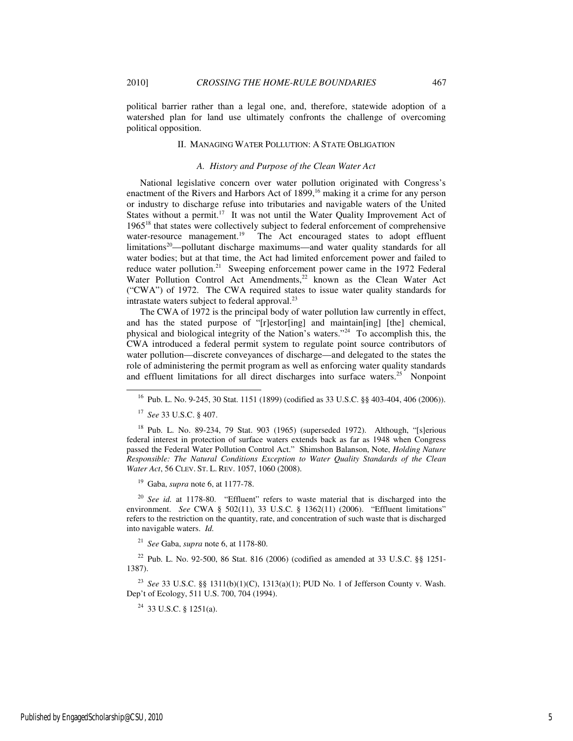political barrier rather than a legal one, and, therefore, statewide adoption of a watershed plan for land use ultimately confronts the challenge of overcoming political opposition.

## II. MANAGING WATER POLLUTION: A STATE OBLIGATION

#### *A. History and Purpose of the Clean Water Act*

National legislative concern over water pollution originated with Congress's enactment of the Rivers and Harbors Act of 1899,<sup>16</sup> making it a crime for any person or industry to discharge refuse into tributaries and navigable waters of the United States without a permit.<sup>17</sup> It was not until the Water Quality Improvement Act of 1965<sup>18</sup> that states were collectively subject to federal enforcement of comprehensive water-resource management.<sup>19</sup> The Act encouraged states to adopt effluent limitations<sup>20</sup>—pollutant discharge maximums—and water quality standards for all water bodies; but at that time, the Act had limited enforcement power and failed to reduce water pollution.<sup>21</sup> Sweeping enforcement power came in the 1972 Federal Water Pollution Control Act Amendments,<sup>22</sup> known as the Clean Water Act ("CWA") of 1972. The CWA required states to issue water quality standards for intrastate waters subject to federal approval. $^{23}$ 

The CWA of 1972 is the principal body of water pollution law currently in effect, and has the stated purpose of "[r]estor[ing] and maintain[ing] [the] chemical, physical and biological integrity of the Nation's waters."<sup>24</sup> To accomplish this, the CWA introduced a federal permit system to regulate point source contributors of water pollution—discrete conveyances of discharge—and delegated to the states the role of administering the permit program as well as enforcing water quality standards and effluent limitations for all direct discharges into surface waters.<sup>25</sup> Nonpoint

-

<sup>19</sup> Gaba, *supra* note 6, at 1177-78.

<sup>20</sup> *See id.* at 1178-80."Effluent" refers to waste material that is discharged into the environment. *See* CWA § 502(11), 33 U.S.C. § 1362(11) (2006). "Effluent limitations" refers to the restriction on the quantity, rate, and concentration of such waste that is discharged into navigable waters. *Id.*

<sup>21</sup> *See* Gaba, *supra* note 6, at 1178-80.

<sup>22</sup> Pub. L. No. 92-500, 86 Stat. 816 (2006) (codified as amended at 33 U.S.C. §§ 1251- 1387).

<sup>23</sup> *See* 33 U.S.C. §§ 1311(b)(1)(C), 1313(a)(1); PUD No. 1 of Jefferson County v. Wash. Dep't of Ecology, 511 U.S. 700, 704 (1994).

 $24$  33 U.S.C. § 1251(a).

<sup>16</sup> Pub. L. No. 9-245, 30 Stat. 1151 (1899) (codified as 33 U.S.C. §§ 403-404, 406 (2006)).

<sup>17</sup> *See* 33 U.S.C. § 407.

<sup>&</sup>lt;sup>18</sup> Pub. L. No. 89-234, 79 Stat. 903 (1965) (superseded 1972). Although, "[s]erious federal interest in protection of surface waters extends back as far as 1948 when Congress passed the Federal Water Pollution Control Act." Shimshon Balanson, Note, *Holding Nature Responsible: The Natural Conditions Exception to Water Quality Standards of the Clean Water Act*, 56 CLEV. ST. L. REV. 1057, 1060 (2008).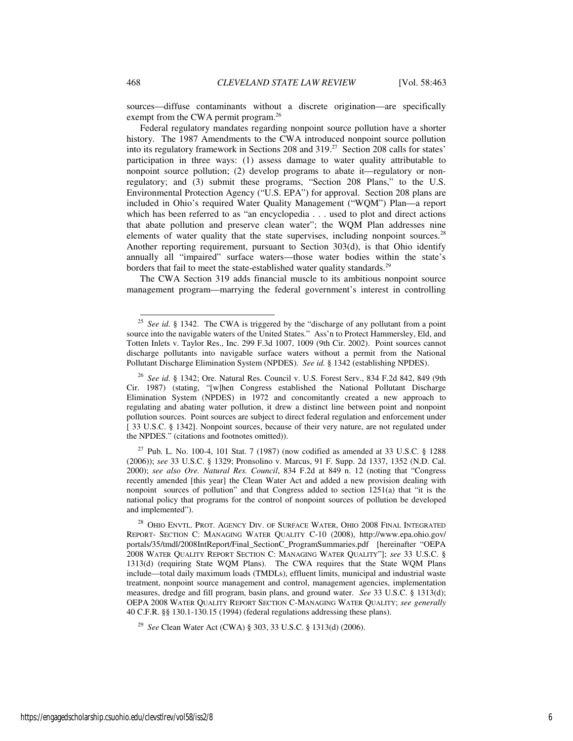sources—diffuse contaminants without a discrete origination—are specifically exempt from the CWA permit program.<sup>26</sup>

Federal regulatory mandates regarding nonpoint source pollution have a shorter history. The 1987 Amendments to the CWA introduced nonpoint source pollution into its regulatory framework in Sections 208 and 319.<sup>27</sup> Section 208 calls for states' participation in three ways: (1) assess damage to water quality attributable to nonpoint source pollution; (2) develop programs to abate it—regulatory or nonregulatory; and (3) submit these programs, "Section 208 Plans," to the U.S. Environmental Protection Agency ("U.S. EPA") for approval. Section 208 plans are included in Ohio's required Water Quality Management ("WQM") Plan—a report which has been referred to as "an encyclopedia . . . used to plot and direct actions that abate pollution and preserve clean water"; the WQM Plan addresses nine elements of water quality that the state supervises, including nonpoint sources.<sup>28</sup> Another reporting requirement, pursuant to Section 303(d), is that Ohio identify annually all "impaired" surface waters—those water bodies within the state's borders that fail to meet the state-established water quality standards.<sup>29</sup>

The CWA Section 319 adds financial muscle to its ambitious nonpoint source management program—marrying the federal government's interest in controlling

<sup>27</sup> Pub. L. No. 100-4, 101 Stat. 7 (1987) (now codified as amended at 33 U.S.C. § 1288 (2006)); *see* 33 U.S.C. § 1329; Pronsolino v. Marcus, 91 F. Supp. 2d 1337, 1352 (N.D. Cal. 2000); *see also Ore. Natural Res. Council*, 834 F.2d at 849 n. 12 (noting that "Congress recently amended [this year] the Clean Water Act and added a new provision dealing with nonpoint sources of pollution" and that Congress added to section 1251(a) that "it is the national policy that programs for the control of nonpoint sources of pollution be developed and implemented").

 $25\,$ See id. § 1342. The CWA is triggered by the "discharge of any pollutant from a point source into the navigable waters of the United States." Ass'n to Protect Hammersley, Eld, and Totten Inlets v. Taylor Res., Inc. 299 F.3d 1007, 1009 (9th Cir. 2002). Point sources cannot discharge pollutants into navigable surface waters without a permit from the National Pollutant Discharge Elimination System (NPDES). *See id.* § 1342 (establishing NPDES).

<sup>26</sup> *See id.* § 1342; Ore. Natural Res. Council v. U.S. Forest Serv., 834 F.2d 842, 849 (9th Cir. 1987) (stating, "[w]hen Congress established the National Pollutant Discharge Elimination System (NPDES) in 1972 and concomitantly created a new approach to regulating and abating water pollution, it drew a distinct line between point and nonpoint pollution sources. Point sources are subject to direct federal regulation and enforcement under [ 33 U.S.C. § 1342]. Nonpoint sources, because of their very nature, are not regulated under the NPDES." (citations and footnotes omitted)).

 $^{28}$  Ohio Envtl. Prot. AGENCY DIV. OF SURFACE WATER, Ohio 2008 FINAL INTEGRATED REPORT- SECTION C: MANAGING WATER QUALITY C-10 (2008), http://www.epa.ohio.gov/ portals/35/tmdl/2008IntReport/Final\_SectionC\_ProgramSummaries.pdf [hereinafter "OEPA 2008 WATER QUALITY REPORT SECTION C: MANAGING WATER QUALITY"]; *see* 33 U.S.C. § 1313(d) (requiring State WQM Plans). The CWA requires that the State WQM Plans include—total daily maximum loads (TMDLs), effluent limits, municipal and industrial waste treatment, nonpoint source management and control, management agencies, implementation measures, dredge and fill program, basin plans, and ground water. *See* 33 U.S.C. § 1313(d); OEPA 2008 WATER QUALITY REPORT SECTION C-MANAGING WATER QUALITY; *see generally*  40 C.F.R. §§ 130.1-130.15 (1994) (federal regulations addressing these plans).

<sup>29</sup> *See* Clean Water Act (CWA) § 303, 33 U.S.C. § 1313(d) (2006).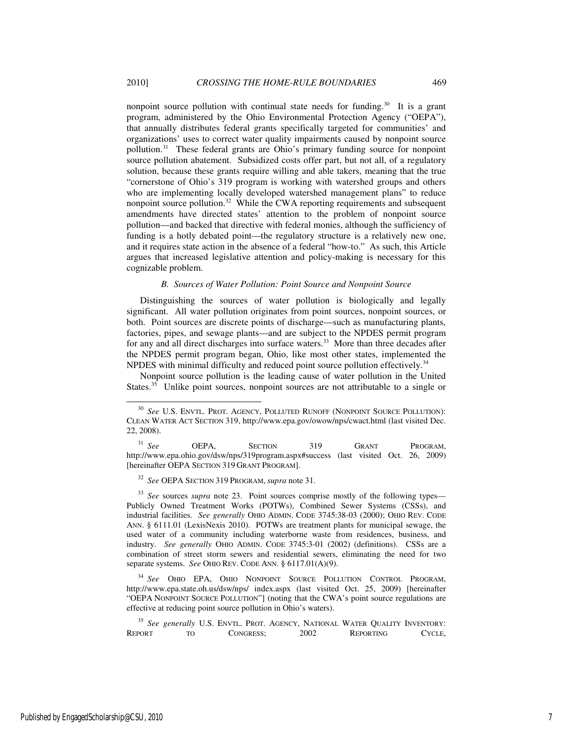nonpoint source pollution with continual state needs for funding.<sup>30</sup> It is a grant program, administered by the Ohio Environmental Protection Agency ("OEPA"), that annually distributes federal grants specifically targeted for communities' and organizations' uses to correct water quality impairments caused by nonpoint source pollution.<sup>31</sup> These federal grants are Ohio's primary funding source for nonpoint source pollution abatement. Subsidized costs offer part, but not all, of a regulatory solution, because these grants require willing and able takers, meaning that the true "cornerstone of Ohio's 319 program is working with watershed groups and others who are implementing locally developed watershed management plans" to reduce nonpoint source pollution.<sup>32</sup> While the CWA reporting requirements and subsequent amendments have directed states' attention to the problem of nonpoint source pollution—and backed that directive with federal monies, although the sufficiency of funding is a hotly debated point—the regulatory structure is a relatively new one, and it requires state action in the absence of a federal "how-to." As such, this Article argues that increased legislative attention and policy-making is necessary for this cognizable problem.

#### *B. Sources of Water Pollution: Point Source and Nonpoint Source*

Distinguishing the sources of water pollution is biologically and legally significant. All water pollution originates from point sources, nonpoint sources, or both. Point sources are discrete points of discharge—such as manufacturing plants, factories, pipes, and sewage plants—and are subject to the NPDES permit program for any and all direct discharges into surface waters.<sup>33</sup> More than three decades after the NPDES permit program began, Ohio, like most other states, implemented the NPDES with minimal difficulty and reduced point source pollution effectively.<sup>34</sup>

Nonpoint source pollution is the leading cause of water pollution in the United States.<sup>35</sup> Unlike point sources, nonpoint sources are not attributable to a single or

<sup>31</sup> *See* **OEPA, SECTION** 319 **GRANT PROGRAM**, http://www.epa.ohio.gov/dsw/nps/319program.aspx#success (last visited Oct. 26, 2009) [hereinafter OEPA SECTION 319 GRANT PROGRAM].

<sup>32</sup> *See* OEPA SECTION 319 PROGRAM, *supra* note 31.

<sup>33</sup> *See* sources *supra* note 23. Point sources comprise mostly of the following types— Publicly Owned Treatment Works (POTWs), Combined Sewer Systems (CSSs), and industrial facilities. *See generally* OHIO ADMIN. CODE 3745:38-03 (2000); OHIO REV. CODE ANN. § 6111.01 (LexisNexis 2010). POTWs are treatment plants for municipal sewage, the used water of a community including waterborne waste from residences, business, and industry. *See generally* OHIO ADMIN. CODE 3745:3-01 (2002) (definitions). CSSs are a combination of street storm sewers and residential sewers, eliminating the need for two separate systems. *See* OHIO REV. CODE ANN. § 6117.01(A)(9).

<sup>34</sup> *See* OHIO EPA, OHIO NONPOINT SOURCE POLLUTION CONTROL PROGRAM, http://www.epa.state.oh.us/dsw/nps/ index.aspx (last visited Oct. 25, 2009) [hereinafter "OEPA NONPOINT SOURCE POLLUTION"] (noting that the CWA's point source regulations are effective at reducing point source pollution in Ohio's waters).

<sup>35</sup> *See generally U.S. ENVTL. PROT. AGENCY, NATIONAL WATER QUALITY INVENTORY:*<br>REPORT TO CONGRESS: 2002 REPORTING CYCLE. REPORT TO CONGRESS; 2002 REPORTING CYCLE,

<sup>30</sup> *See* U.S. ENVTL. PROT. AGENCY, POLLUTED RUNOFF (NONPOINT SOURCE POLLUTION): CLEAN WATER ACT SECTION 319, http://www.epa.gov/owow/nps/cwact.html (last visited Dec. 22, 2008).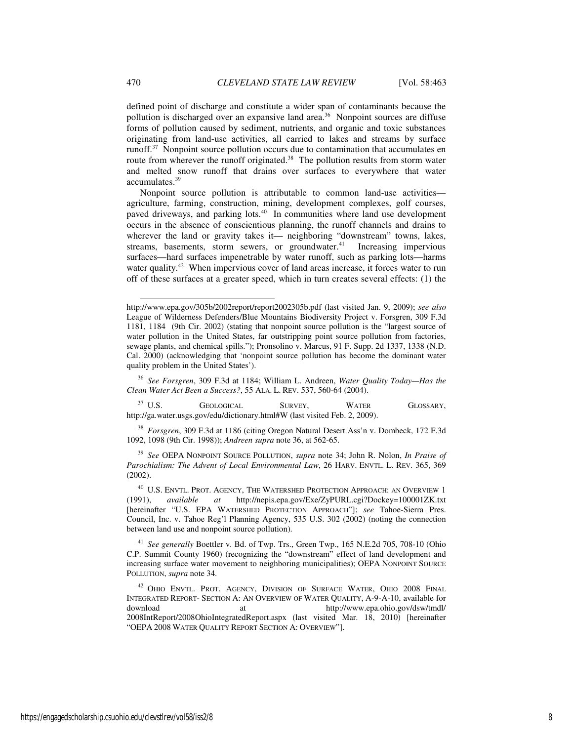defined point of discharge and constitute a wider span of contaminants because the pollution is discharged over an expansive land area.<sup>36</sup> Nonpoint sources are diffuse forms of pollution caused by sediment, nutrients, and organic and toxic substances originating from land-use activities, all carried to lakes and streams by surface runoff.<sup>37</sup> Nonpoint source pollution occurs due to contamination that accumulates en route from wherever the runoff originated.<sup>38</sup> The pollution results from storm water and melted snow runoff that drains over surfaces to everywhere that water accumulates.<sup>39</sup>

Nonpoint source pollution is attributable to common land-use activities agriculture, farming, construction, mining, development complexes, golf courses, paved driveways, and parking lots.<sup>40</sup> In communities where land use development occurs in the absence of conscientious planning, the runoff channels and drains to wherever the land or gravity takes it— neighboring "downstream" towns, lakes, streams, basements, storm sewers, or groundwater.<sup>41</sup> Increasing impervious surfaces—hard surfaces impenetrable by water runoff, such as parking lots—harms water quality.<sup>42</sup> When impervious cover of land areas increase, it forces water to run off of these surfaces at a greater speed, which in turn creates several effects: (1) the

<sup>36</sup> *See Forsgren*, 309 F.3d at 1184; William L. Andreen, *Water Quality Today—Has the Clean Water Act Been a Success?*, 55 ALA. L. REV. 537, 560-64 (2004).

<sup>37</sup> U.S. GEOLOGICAL SURVEY, WATER GLOSSARY, http://ga.water.usgs.gov/edu/dictionary.html#W (last visited Feb. 2, 2009).

<sup>38</sup> *Forsgren*, 309 F.3d at 1186 (citing Oregon Natural Desert Ass'n v. Dombeck, 172 F.3d 1092, 1098 (9th Cir. 1998)); *Andreen supra* note 36, at 562-65.

<sup>39</sup> *See* OEPA NONPOINT SOURCE POLLUTION, *supra* note 34; John R. Nolon, *In Praise of Parochialism: The Advent of Local Environmental Law*, 26 HARV. ENVTL. L. REV. 365, 369 (2002).

<sup>40</sup> U.S. ENVTL. PROT. AGENCY, THE WATERSHED PROTECTION APPROACH: AN OVERVIEW 1 (1991), *available at* http://nepis.epa.gov/Exe/ZyPURL.cgi?Dockey=100001ZK.txt (1991), *available at* http://nepis.epa.gov/Exe/ZyPURL.cgi?Dockey=100001ZK.txt [hereinafter "U.S. EPA WATERSHED PROTECTION APPROACH"]; *see* Tahoe-Sierra Pres. Council, Inc. v. Tahoe Reg'l Planning Agency, 535 U.S. 302 (2002) (noting the connection between land use and nonpoint source pollution).

<sup>41</sup> *See generally* Boettler v. Bd. of Twp. Trs., Green Twp., 165 N.E.2d 705, 708-10 (Ohio C.P. Summit County 1960) (recognizing the "downstream" effect of land development and increasing surface water movement to neighboring municipalities); OEPA NONPOINT SOURCE POLLUTION, *supra* note 34.

<sup>42</sup> OHIO ENVTL. PROT. AGENCY, DIVISION OF SURFACE WATER, OHIO 2008 FINAL INTEGRATED REPORT- SECTION A: AN OVERVIEW OF WATER QUALITY, A-9-A-10, available for download at http://www.epa.ohio.gov/dsw/tmdl/ 2008IntReport/2008OhioIntegratedReport.aspx (last visited Mar. 18, 2010) [hereinafter "OEPA 2008 WATER QUALITY REPORT SECTION A: OVERVIEW"].

http://www.epa.gov/305b/2002report/report2002305b.pdf (last visited Jan. 9, 2009); *see also*  League of Wilderness Defenders/Blue Mountains Biodiversity Project v. Forsgren, 309 F.3d 1181, 1184 (9th Cir. 2002) (stating that nonpoint source pollution is the "largest source of water pollution in the United States, far outstripping point source pollution from factories, sewage plants, and chemical spills."); Pronsolino v. Marcus, 91 F. Supp. 2d 1337, 1338 (N.D. Cal. 2000) (acknowledging that 'nonpoint source pollution has become the dominant water quality problem in the United States').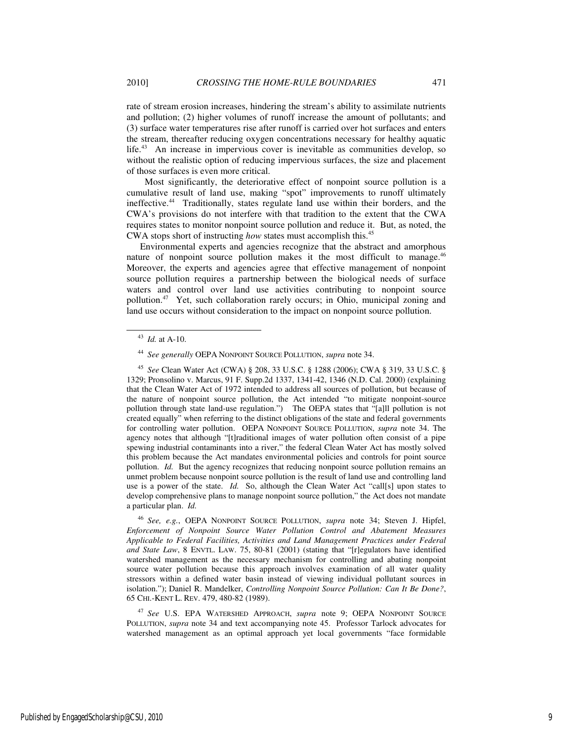rate of stream erosion increases, hindering the stream's ability to assimilate nutrients and pollution; (2) higher volumes of runoff increase the amount of pollutants; and (3) surface water temperatures rise after runoff is carried over hot surfaces and enters the stream, thereafter reducing oxygen concentrations necessary for healthy aquatic life.<sup>43</sup> An increase in impervious cover is inevitable as communities develop, so without the realistic option of reducing impervious surfaces, the size and placement of those surfaces is even more critical.

 Most significantly, the deteriorative effect of nonpoint source pollution is a cumulative result of land use, making "spot" improvements to runoff ultimately ineffective.<sup>44</sup> Traditionally, states regulate land use within their borders, and the CWA's provisions do not interfere with that tradition to the extent that the CWA requires states to monitor nonpoint source pollution and reduce it. But, as noted, the CWA stops short of instructing *how* states must accomplish this.<sup>45</sup>

Environmental experts and agencies recognize that the abstract and amorphous nature of nonpoint source pollution makes it the most difficult to manage.<sup>46</sup> Moreover, the experts and agencies agree that effective management of nonpoint source pollution requires a partnership between the biological needs of surface waters and control over land use activities contributing to nonpoint source pollution.<sup>47</sup> Yet, such collaboration rarely occurs; in Ohio, municipal zoning and land use occurs without consideration to the impact on nonpoint source pollution.

-

<sup>46</sup> *See, e.g.*, OEPA NONPOINT SOURCE POLLUTION, *supra* note 34; Steven J. Hipfel, *Enforcement of Nonpoint Source Water Pollution Control and Abatement Measures Applicable to Federal Facilities, Activities and Land Management Practices under Federal and State Law*, 8 ENVTL. LAW. 75, 80-81 (2001) (stating that "[r]egulators have identified watershed management as the necessary mechanism for controlling and abating nonpoint source water pollution because this approach involves examination of all water quality stressors within a defined water basin instead of viewing individual pollutant sources in isolation."); Daniel R. Mandelker, *Controlling Nonpoint Source Pollution: Can It Be Done?*, 65 CHI.-KENT L. REV. 479, 480-82 (1989).

<sup>47</sup> *See* U.S. EPA WATERSHED APPROACH, *supra* note 9; OEPA NONPOINT SOURCE POLLUTION, *supra* note 34 and text accompanying note 45. Professor Tarlock advocates for watershed management as an optimal approach yet local governments "face formidable

Published by EngagedScholarship@CSU, 2010 9

<sup>43</sup> *Id.* at A-10.

<sup>44</sup> *See generally* OEPA NONPOINT SOURCE POLLUTION, *supra* note 34.

<sup>45</sup> *See* Clean Water Act (CWA) § 208, 33 U.S.C. § 1288 (2006); CWA § 319, 33 U.S.C. § 1329; Pronsolino v. Marcus, 91 F. Supp.2d 1337, 1341-42, 1346 (N.D. Cal. 2000) (explaining that the Clean Water Act of 1972 intended to address all sources of pollution, but because of the nature of nonpoint source pollution, the Act intended "to mitigate nonpoint-source pollution through state land-use regulation.") The OEPA states that "[a]ll pollution is not created equally" when referring to the distinct obligations of the state and federal governments for controlling water pollution. OEPA NONPOINT SOURCE POLLUTION, *supra* note 34. The agency notes that although "[t]raditional images of water pollution often consist of a pipe spewing industrial contaminants into a river," the federal Clean Water Act has mostly solved this problem because the Act mandates environmental policies and controls for point source pollution. *Id.* But the agency recognizes that reducing nonpoint source pollution remains an unmet problem because nonpoint source pollution is the result of land use and controlling land use is a power of the state. *Id.* So, although the Clean Water Act "call[s] upon states to develop comprehensive plans to manage nonpoint source pollution," the Act does not mandate a particular plan. *Id.*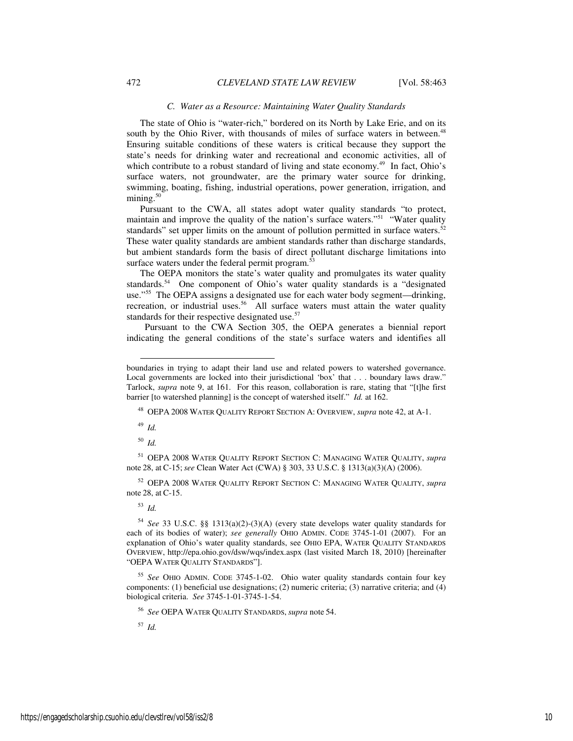#### *C. Water as a Resource: Maintaining Water Quality Standards*

The state of Ohio is "water-rich," bordered on its North by Lake Erie, and on its south by the Ohio River, with thousands of miles of surface waters in between.<sup>48</sup> Ensuring suitable conditions of these waters is critical because they support the state's needs for drinking water and recreational and economic activities, all of which contribute to a robust standard of living and state economy.<sup>49</sup> In fact, Ohio's surface waters, not groundwater, are the primary water source for drinking, swimming, boating, fishing, industrial operations, power generation, irrigation, and mining. $50$ 

Pursuant to the CWA, all states adopt water quality standards "to protect, maintain and improve the quality of the nation's surface waters."<sup>51</sup> "Water quality" standards" set upper limits on the amount of pollution permitted in surface waters. $52$ These water quality standards are ambient standards rather than discharge standards, but ambient standards form the basis of direct pollutant discharge limitations into surface waters under the federal permit program.<sup>53</sup>

The OEPA monitors the state's water quality and promulgates its water quality standards.<sup>54</sup> One component of Ohio's water quality standards is a "designated" use."<sup>55</sup> The OEPA assigns a designated use for each water body segment—drinking, recreation, or industrial uses.<sup>56</sup> All surface waters must attain the water quality standards for their respective designated use.<sup>57</sup>

 Pursuant to the CWA Section 305, the OEPA generates a biennial report indicating the general conditions of the state's surface waters and identifies all

<sup>48</sup> OEPA 2008 WATER QUALITY REPORT SECTION A: OVERVIEW, *supra* note 42, at A-1.

<sup>49</sup> *Id.* 

-

<sup>50</sup> *Id.* 

<sup>51</sup> OEPA 2008 WATER QUALITY REPORT SECTION C: MANAGING WATER QUALITY, *supra*  note 28, at C-15;*see* Clean Water Act (CWA) § 303, 33 U.S.C. § 1313(a)(3)(A) (2006).

<sup>52</sup> OEPA 2008 WATER QUALITY REPORT SECTION C: MANAGING WATER QUALITY, *supra*  note 28, at C-15.

<sup>53</sup> *Id.* 

<sup>54</sup> *See* 33 U.S.C. §§ 1313(a)(2)-(3)(A) (every state develops water quality standards for each of its bodies of water); *see generally* OHIO ADMIN. CODE 3745-1-01 (2007). For an explanation of Ohio's water quality standards, see OHIO EPA, WATER QUALITY STANDARDS OVERVIEW, http://epa.ohio.gov/dsw/wqs/index.aspx (last visited March 18, 2010) [hereinafter "OEPA WATER QUALITY STANDARDS"].

<sup>55</sup> *See* OHIO ADMIN. CODE 3745-1-02. Ohio water quality standards contain four key components: (1) beneficial use designations; (2) numeric criteria; (3) narrative criteria; and (4) biological criteria. *See* 3745-1-01-3745-1-54.

<sup>56</sup> *See* OEPA WATER QUALITY STANDARDS, *supra* note 54.

<sup>57</sup> *Id.* 

boundaries in trying to adapt their land use and related powers to watershed governance. Local governments are locked into their jurisdictional 'box' that . . . boundary laws draw." Tarlock, *supra* note 9, at 161. For this reason, collaboration is rare, stating that "[t]he first barrier [to watershed planning] is the concept of watershed itself." *Id.* at 162.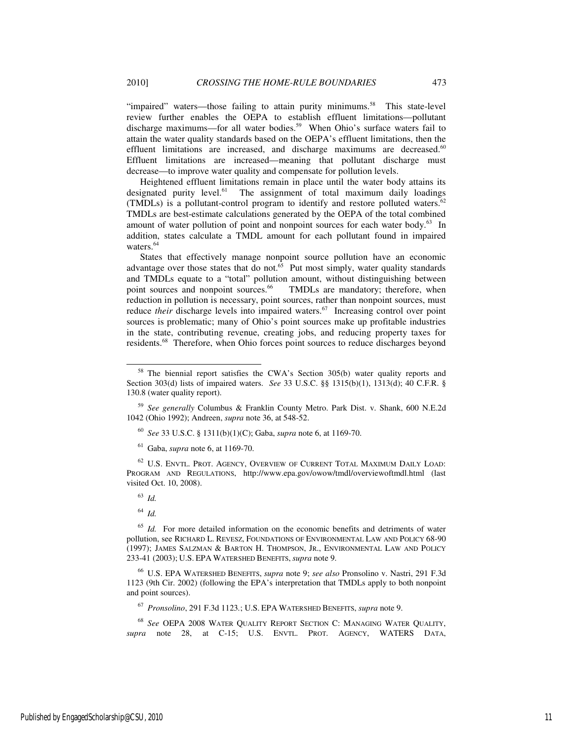"impaired" waters—those failing to attain purity minimums.<sup>58</sup> This state-level review further enables the OEPA to establish effluent limitations—pollutant discharge maximums—for all water bodies.<sup>59</sup> When Ohio's surface waters fail to attain the water quality standards based on the OEPA's effluent limitations, then the effluent limitations are increased, and discharge maximums are decreased.<sup>60</sup> Effluent limitations are increased—meaning that pollutant discharge must decrease—to improve water quality and compensate for pollution levels.

Heightened effluent limitations remain in place until the water body attains its designated purity level. $61$  The assignment of total maximum daily loadings (TMDLs) is a pollutant-control program to identify and restore polluted waters.<sup>62</sup> TMDLs are best-estimate calculations generated by the OEPA of the total combined amount of water pollution of point and nonpoint sources for each water body.<sup>63</sup> In addition, states calculate a TMDL amount for each pollutant found in impaired waters.<sup>64</sup>

States that effectively manage nonpoint source pollution have an economic advantage over those states that do not. $65$  Put most simply, water quality standards and TMDLs equate to a "total" pollution amount, without distinguishing between point sources and nonpoint sources.<sup>66</sup> TMDLs are mandatory; therefore, when reduction in pollution is necessary, point sources, rather than nonpoint sources, must reduce *their* discharge levels into impaired waters.<sup>67</sup> Increasing control over point sources is problematic; many of Ohio's point sources make up profitable industries in the state, contributing revenue, creating jobs, and reducing property taxes for residents.<sup>68</sup> Therefore, when Ohio forces point sources to reduce discharges beyond

 $^{62}$  U.S. ENVTL. PROT. AGENCY, OVERVIEW OF CURRENT TOTAL MAXIMUM DAILY LOAD: PROGRAM AND REGULATIONS, http://www.epa.gov/owow/tmdl/overviewoftmdl.html (last visited Oct. 10, 2008).

<sup>63</sup> *Id.* 

-

<sup>66</sup> U.S. EPA WATERSHED BENEFITS, *supra* note 9; *see also* Pronsolino v. Nastri, 291 F.3d 1123 (9th Cir. 2002) (following the EPA's interpretation that TMDLs apply to both nonpoint and point sources).

<sup>67</sup> *Pronsolino*, 291 F.3d 1123*.*; U.S. EPA WATERSHED BENEFITS, *supra* note 9.

<sup>68</sup> *See* OEPA 2008 WATER QUALITY REPORT SECTION C: MANAGING WATER QUALITY, *supra* note 28, at C-15; U.S. ENVTL. PROT. AGENCY, WATERS DATA,

<sup>58</sup> The biennial report satisfies the CWA's Section 305(b) water quality reports and Section 303(d) lists of impaired waters. *See* 33 U.S.C. §§ 1315(b)(1), 1313(d); 40 C.F.R. § 130.8 (water quality report).

<sup>59</sup> *See generally* Columbus & Franklin County Metro. Park Dist. v. Shank, 600 N.E.2d 1042 (Ohio 1992); Andreen, *supra* note 36, at 548-52.

<sup>60</sup> *See* 33 U.S.C. § 1311(b)(1)(C); Gaba, *supra* note 6, at 1169-70.

<sup>61</sup> Gaba, *supra* note 6, at 1169-70.

<sup>64</sup> *Id.*

<sup>&</sup>lt;sup>65</sup> *Id.* For more detailed information on the economic benefits and detriments of water pollution, see RICHARD L. REVESZ, FOUNDATIONS OF ENVIRONMENTAL LAW AND POLICY 68-90 (1997); JAMES SALZMAN & BARTON H. THOMPSON, JR., ENVIRONMENTAL LAW AND POLICY 233-41 (2003); U.S. EPA WATERSHED BENEFITS, *supra* note 9.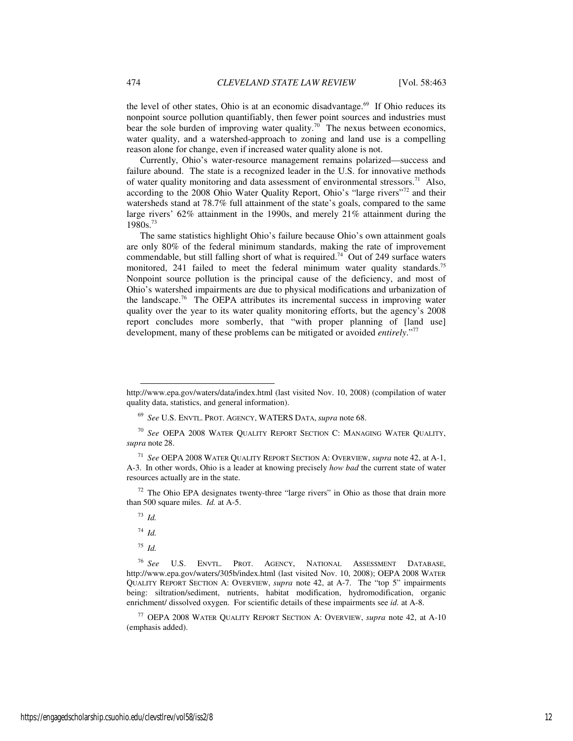the level of other states, Ohio is at an economic disadvantage.<sup>69</sup> If Ohio reduces its nonpoint source pollution quantifiably, then fewer point sources and industries must bear the sole burden of improving water quality.<sup>70</sup> The nexus between economics, water quality, and a watershed-approach to zoning and land use is a compelling reason alone for change, even if increased water quality alone is not.

Currently, Ohio's water-resource management remains polarized—success and failure abound. The state is a recognized leader in the U.S. for innovative methods of water quality monitoring and data assessment of environmental stressors.<sup>71</sup> Also, according to the 2008 Ohio Water Quality Report, Ohio's "large rivers"<sup>72</sup> and their watersheds stand at 78.7% full attainment of the state's goals, compared to the same large rivers' 62% attainment in the 1990s, and merely 21% attainment during the 1980s.<sup>73</sup>

The same statistics highlight Ohio's failure because Ohio's own attainment goals are only 80% of the federal minimum standards, making the rate of improvement commendable, but still falling short of what is required.<sup>74</sup> Out of 249 surface waters monitored, 241 failed to meet the federal minimum water quality standards.<sup>75</sup> Nonpoint source pollution is the principal cause of the deficiency, and most of Ohio's watershed impairments are due to physical modifications and urbanization of the landscape.<sup>76</sup> The OEPA attributes its incremental success in improving water quality over the year to its water quality monitoring efforts, but the agency's 2008 report concludes more somberly, that "with proper planning of [land use] development, many of these problems can be mitigated or avoided *entirely*."<sup>77</sup>

 $72$  The Ohio EPA designates twenty-three "large rivers" in Ohio as those that drain more than 500 square miles. *Id.* at A-5.

http://www.epa.gov/waters/data/index.html (last visited Nov. 10, 2008) (compilation of water quality data, statistics, and general information).

<sup>69</sup> *See* U.S. ENVTL. PROT. AGENCY, WATERS DATA, *supra* note 68.

<sup>70</sup> *See* OEPA 2008 WATER QUALITY REPORT SECTION C: MANAGING WATER QUALITY, *supra* note 28.

<sup>71</sup> *See* OEPA 2008 WATER QUALITY REPORT SECTION A: OVERVIEW, *supra* note 42, at A-1, A-3. In other words, Ohio is a leader at knowing precisely *how bad* the current state of water resources actually are in the state.

<sup>73</sup> *Id.* 

<sup>74</sup> *Id.* 

 $^{75}$  *Id.* 

<sup>76</sup> *See* U.S. ENVTL. PROT. AGENCY, NATIONAL ASSESSMENT DATABASE, http://www.epa.gov/waters/305b/index.html (last visited Nov. 10, 2008); OEPA 2008 WATER QUALITY REPORT SECTION A: OVERVIEW, *supra* note 42, at A-7. The "top 5" impairments being: siltration/sediment, nutrients, habitat modification, hydromodification, organic enrichment/ dissolved oxygen. For scientific details of these impairments see *id.* at A-8.

<sup>77</sup> OEPA 2008 WATER QUALITY REPORT SECTION A: OVERVIEW, *supra* note 42, at A-10 (emphasis added).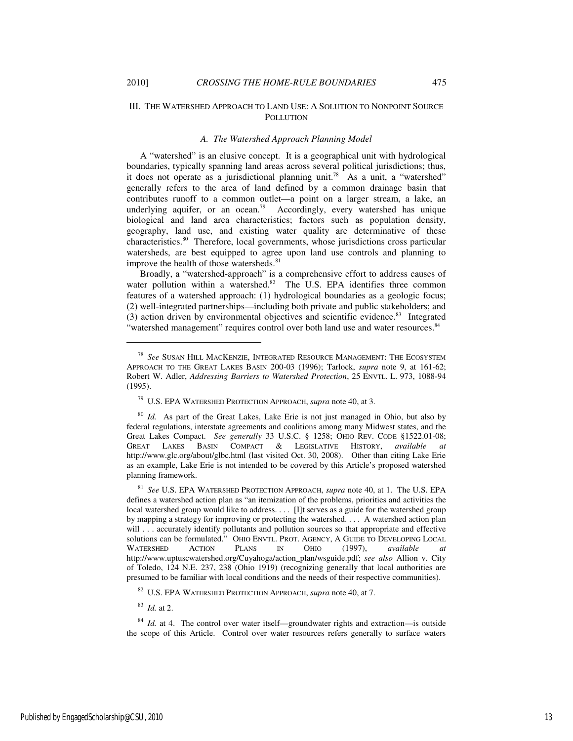-

## III. THE WATERSHED APPROACH TO LAND USE: A SOLUTION TO NONPOINT SOURCE **POLLUTION**

## *A. The Watershed Approach Planning Model*

A "watershed" is an elusive concept. It is a geographical unit with hydrological boundaries, typically spanning land areas across several political jurisdictions; thus, it does not operate as a jurisdictional planning unit.<sup>78</sup> As a unit, a "watershed" generally refers to the area of land defined by a common drainage basin that contributes runoff to a common outlet—a point on a larger stream, a lake, an underlying aquifer, or an ocean.<sup>79</sup> Accordingly, every watershed has unique biological and land area characteristics; factors such as population density, geography, land use, and existing water quality are determinative of these characteristics.<sup>80</sup> Therefore, local governments, whose jurisdictions cross particular watersheds, are best equipped to agree upon land use controls and planning to improve the health of those watersheds.<sup>81</sup>

Broadly, a "watershed-approach" is a comprehensive effort to address causes of water pollution within a watershed.<sup>82</sup> The U.S. EPA identifies three common features of a watershed approach: (1) hydrological boundaries as a geologic focus; (2) well-integrated partnerships—including both private and public stakeholders; and (3) action driven by environmental objectives and scientific evidence.<sup>83</sup> Integrated "watershed management" requires control over both land use and water resources. <sup>84</sup>

<sup>81</sup> *See* U.S. EPA WATERSHED PROTECTION APPROACH, *supra* note 40, at 1. The U.S. EPA defines a watershed action plan as "an itemization of the problems, priorities and activities the local watershed group would like to address. . . . [I]t serves as a guide for the watershed group by mapping a strategy for improving or protecting the watershed. . . . A watershed action plan will . . . accurately identify pollutants and pollution sources so that appropriate and effective solutions can be formulated." OHIO ENVTL. PROT. AGENCY, A GUIDE TO DEVELOPING LOCAL WATERSHED ACTION PLANS IN OHIO (1997), *available at* WATERSHED ACTION PLANS IN OHIO (1997), *available at* http://www.uptuscwatershed.org/Cuyahoga/action\_plan/wsguide.pdf; *see also* Allion v. City of Toledo, 124 N.E. 237, 238 (Ohio 1919) (recognizing generally that local authorities are presumed to be familiar with local conditions and the needs of their respective communities).

<sup>82</sup> U.S. EPA WATERSHED PROTECTION APPROACH, *supra* note 40, at 7.

<sup>83</sup> *Id.* at 2.

<sup>84</sup> *Id.* at 4. The control over water itself—groundwater rights and extraction—is outside the scope of this Article. Control over water resources refers generally to surface waters

<sup>78</sup> *See* SUSAN HILL MACKENZIE, INTEGRATED RESOURCE MANAGEMENT: THE ECOSYSTEM APPROACH TO THE GREAT LAKES BASIN 200-03 (1996); Tarlock, *supra* note 9, at 161-62; Robert W. Adler, *Addressing Barriers to Watershed Protection*, 25 ENVTL. L. 973, 1088-94 (1995).

<sup>79</sup> U.S. EPA WATERSHED PROTECTION APPROACH, *supra* note 40, at 3.

<sup>80</sup> *Id.* As part of the Great Lakes, Lake Erie is not just managed in Ohio, but also by federal regulations, interstate agreements and coalitions among many Midwest states, and the Great Lakes Compact. *See generally* 33 U.S.C. § 1258; OHIO REV. CODE §1522.01-08; GREAT LAKES BASIN COMPACT & LEGISLATIVE HISTORY, *available at* http://www.glc.org/about/glbc.html (last visited Oct. 30, 2008). Other than citing Lake Erie as an example, Lake Erie is not intended to be covered by this Article's proposed watershed planning framework.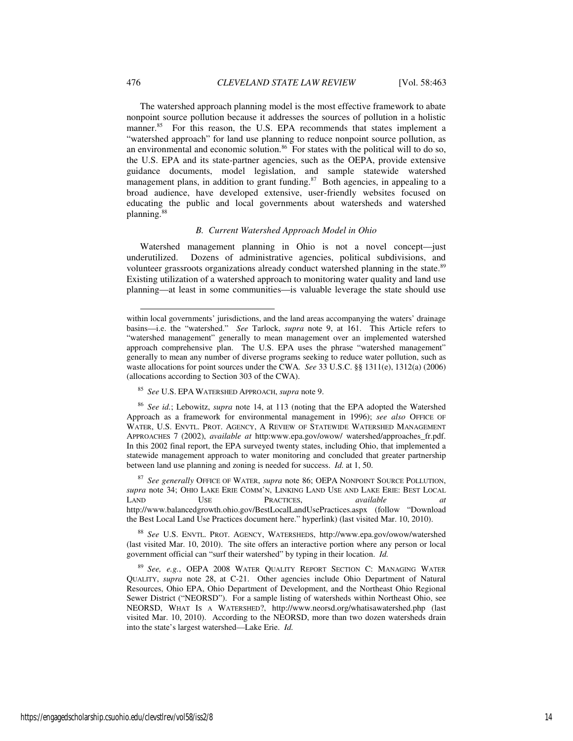The watershed approach planning model is the most effective framework to abate nonpoint source pollution because it addresses the sources of pollution in a holistic manner.<sup>85</sup> For this reason, the U.S. EPA recommends that states implement a "watershed approach" for land use planning to reduce nonpoint source pollution, as an environmental and economic solution.<sup>86</sup> For states with the political will to do so, the U.S. EPA and its state-partner agencies, such as the OEPA, provide extensive guidance documents, model legislation, and sample statewide watershed management plans, in addition to grant funding. $87$  Both agencies, in appealing to a broad audience, have developed extensive, user-friendly websites focused on educating the public and local governments about watersheds and watershed planning.<sup>88</sup>

## *B. Current Watershed Approach Model in Ohio*

Watershed management planning in Ohio is not a novel concept—just underutilized. Dozens of administrative agencies, political subdivisions, and volunteer grassroots organizations already conduct watershed planning in the state.<sup>89</sup> Existing utilization of a watershed approach to monitoring water quality and land use planning—at least in some communities—is valuable leverage the state should use

<sup>86</sup> *See id.*; Lebowitz, *supra* note 14, at 113 (noting that the EPA adopted the Watershed Approach as a framework for environmental management in 1996); *see also* OFFICE OF WATER, U.S. ENVTL. PROT. AGENCY, A REVIEW OF STATEWIDE WATERSHED MANAGEMENT APPROACHES 7 (2002), *available at* http:www.epa.gov/owow/ watershed/approaches\_fr.pdf. In this 2002 final report, the EPA surveyed twenty states, including Ohio, that implemented a statewide management approach to water monitoring and concluded that greater partnership between land use planning and zoning is needed for success. *Id.* at 1, 50.

<sup>87</sup> *See generally* OFFICE OF WATER, *supra* note 86; OEPA NONPOINT SOURCE POLLUTION, *supra* note 34; OHIO LAKE ERIE COMM'N, LINKING LAND USE AND LAKE ERIE: BEST LOCAL LAND USE PRACTICES, *available at* LAND USE PRACTICES, *available at*  http://www.balancedgrowth.ohio.gov/BestLocalLandUsePractices.aspx (follow "Download the Best Local Land Use Practices document here." hyperlink) (last visited Mar. 10, 2010).

<sup>88</sup> *See* U.S. ENVTL. PROT. AGENCY, WATERSHEDS, http://www.epa.gov/owow/watershed (last visited Mar. 10, 2010). The site offers an interactive portion where any person or local government official can "surf their watershed" by typing in their location. *Id.* 

<sup>89</sup> *See, e.g.*, OEPA 2008 WATER QUALITY REPORT SECTION C: MANAGING WATER QUALITY, *supra* note 28, at C-21. Other agencies include Ohio Department of Natural Resources, Ohio EPA, Ohio Department of Development, and the Northeast Ohio Regional Sewer District ("NEORSD"). For a sample listing of watersheds within Northeast Ohio, see NEORSD, WHAT IS A WATERSHED?, http://www.neorsd.org/whatisawatershed.php (last visited Mar. 10, 2010). According to the NEORSD, more than two dozen watersheds drain into the state's largest watershed—Lake Erie. *Id.* 

within local governments' jurisdictions, and the land areas accompanying the waters' drainage basins—i.e. the "watershed." *See* Tarlock, *supra* note 9, at 161. This Article refers to "watershed management" generally to mean management over an implemented watershed approach comprehensive plan. The U.S. EPA uses the phrase "watershed management" generally to mean any number of diverse programs seeking to reduce water pollution, such as waste allocations for point sources under the CWA*. See* 33 U.S.C. §§ 1311(e), 1312(a) (2006) (allocations according to Section 303 of the CWA).

<sup>85</sup> *See* U.S. EPA WATERSHED APPROACH, *supra* note 9.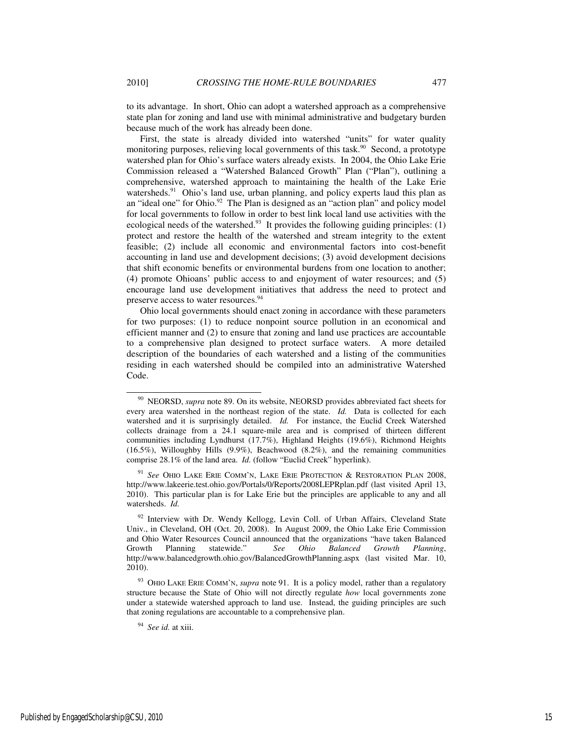to its advantage. In short, Ohio can adopt a watershed approach as a comprehensive state plan for zoning and land use with minimal administrative and budgetary burden because much of the work has already been done.

First, the state is already divided into watershed "units" for water quality monitoring purposes, relieving local governments of this task.<sup>90</sup> Second, a prototype watershed plan for Ohio's surface waters already exists. In 2004, the Ohio Lake Erie Commission released a "Watershed Balanced Growth" Plan ("Plan"), outlining a comprehensive, watershed approach to maintaining the health of the Lake Erie watersheds. $91$  Ohio's land use, urban planning, and policy experts laud this plan as an "ideal one" for Ohio.<sup>92</sup> The Plan is designed as an "action plan" and policy model for local governments to follow in order to best link local land use activities with the ecological needs of the watershed.<sup>93</sup> It provides the following guiding principles: (1) protect and restore the health of the watershed and stream integrity to the extent feasible; (2) include all economic and environmental factors into cost-benefit accounting in land use and development decisions; (3) avoid development decisions that shift economic benefits or environmental burdens from one location to another; (4) promote Ohioans' public access to and enjoyment of water resources; and (5) encourage land use development initiatives that address the need to protect and preserve access to water resources.<sup>94</sup>

Ohio local governments should enact zoning in accordance with these parameters for two purposes: (1) to reduce nonpoint source pollution in an economical and efficient manner and (2) to ensure that zoning and land use practices are accountable to a comprehensive plan designed to protect surface waters. A more detailed description of the boundaries of each watershed and a listing of the communities residing in each watershed should be compiled into an administrative Watershed Code.

<sup>90</sup> NEORSD, *supra* note 89. On its website, NEORSD provides abbreviated fact sheets for every area watershed in the northeast region of the state. *Id.* Data is collected for each watershed and it is surprisingly detailed. *Id.* For instance, the Euclid Creek Watershed collects drainage from a 24.1 square-mile area and is comprised of thirteen different communities including Lyndhurst (17.7%), Highland Heights (19.6%), Richmond Heights (16.5%), Willoughby Hills (9.9%), Beachwood (8.2%), and the remaining communities comprise 28.1% of the land area. *Id.* (follow "Euclid Creek" hyperlink).

See OHIO LAKE ERIE COMM'N, LAKE ERIE PROTECTION & RESTORATION PLAN 2008. http://www.lakeerie.test.ohio.gov/Portals/0/Reports/2008LEPRplan.pdf (last visited April 13, 2010). This particular plan is for Lake Erie but the principles are applicable to any and all watersheds. *Id.* 

<sup>&</sup>lt;sup>92</sup> Interview with Dr. Wendy Kellogg, Levin Coll. of Urban Affairs, Cleveland State Univ., in Cleveland, OH (Oct. 20, 2008). In August 2009, the Ohio Lake Erie Commission and Ohio Water Resources Council announced that the organizations "have taken Balanced Growth Planning statewide." *See Ohio Balanced Growth Planning*, http://www.balancedgrowth.ohio.gov/BalancedGrowthPlanning.aspx (last visited Mar. 10, 2010).

<sup>93</sup> OHIO LAKE ERIE COMM'N, *supra* note 91. It is a policy model, rather than a regulatory structure because the State of Ohio will not directly regulate *how* local governments zone under a statewide watershed approach to land use. Instead, the guiding principles are such that zoning regulations are accountable to a comprehensive plan.

<sup>94</sup> *See id.* at xiii.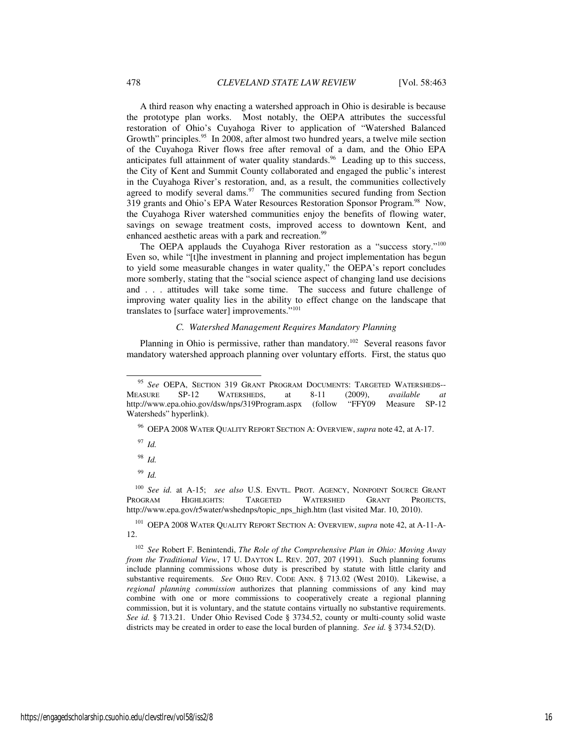A third reason why enacting a watershed approach in Ohio is desirable is because the prototype plan works. Most notably, the OEPA attributes the successful restoration of Ohio's Cuyahoga River to application of "Watershed Balanced Growth" principles.<sup>95</sup> In 2008, after almost two hundred years, a twelve mile section of the Cuyahoga River flows free after removal of a dam, and the Ohio EPA anticipates full attainment of water quality standards.<sup>96</sup> Leading up to this success, the City of Kent and Summit County collaborated and engaged the public's interest in the Cuyahoga River's restoration, and, as a result, the communities collectively agreed to modify several dams. $97$  The communities secured funding from Section 319 grants and Ohio's EPA Water Resources Restoration Sponsor Program.<sup>98</sup> Now, the Cuyahoga River watershed communities enjoy the benefits of flowing water, savings on sewage treatment costs, improved access to downtown Kent, and enhanced aesthetic areas with a park and recreation.<sup>99</sup>

The OEPA applauds the Cuyahoga River restoration as a "success story."<sup>100</sup> Even so, while "[t]he investment in planning and project implementation has begun to yield some measurable changes in water quality," the OEPA's report concludes more somberly, stating that the "social science aspect of changing land use decisions and . . . attitudes will take some time.The success and future challenge of improving water quality lies in the ability to effect change on the landscape that translates to [surface water] improvements."<sup>101</sup>

## *C. Watershed Management Requires Mandatory Planning*

Planning in Ohio is permissive, rather than mandatory.<sup>102</sup> Several reasons favor mandatory watershed approach planning over voluntary efforts. First, the status quo

<sup>96</sup> OEPA 2008 WATER QUALITY REPORT SECTION A: OVERVIEW, *supra* note 42, at A-17.

<sup>97</sup> *Id.* 

-

<sup>98</sup> *Id.* 

<sup>99</sup> *Id.* 

<sup>100</sup> *See id.* at A-15; *see also* U.S. ENVTL. PROT. AGENCY, NONPOINT SOURCE GRANT PROGRAM HIGHLIGHTS: http://www.epa.gov/r5water/wshednps/topic\_nps\_high.htm (last visited Mar. 10, 2010).

<sup>101</sup> OEPA 2008 WATER QUALITY REPORT SECTION A: OVERVIEW, *supra* note 42, at A-11-A-12.

<sup>102</sup> *See* Robert F. Benintendi, *The Role of the Comprehensive Plan in Ohio: Moving Away from the Traditional View*, 17 U. DAYTON L. REV. 207, 207 (1991). Such planning forums include planning commissions whose duty is prescribed by statute with little clarity and substantive requirements. *See* OHIO REV. CODE ANN. § 713.02 (West 2010). Likewise, a *regional planning commission* authorizes that planning commissions of any kind may combine with one or more commissions to cooperatively create a regional planning commission, but it is voluntary, and the statute contains virtually no substantive requirements. *See id.* § 713.21. Under Ohio Revised Code § 3734.52, county or multi-county solid waste districts may be created in order to ease the local burden of planning. *See id.* § 3734.52(D).

<sup>95</sup> *See* OEPA, SECTION 319 GRANT PROGRAM DOCUMENTS: TARGETED WATERSHEDS-- MEASURE SP-12 WATERSHEDS, at 8-11 (2009), *available at* http://www.epa.ohio.gov/dsw/nps/319Program.aspx (follow "FFY09 Measure SP-12 Watersheds" hyperlink).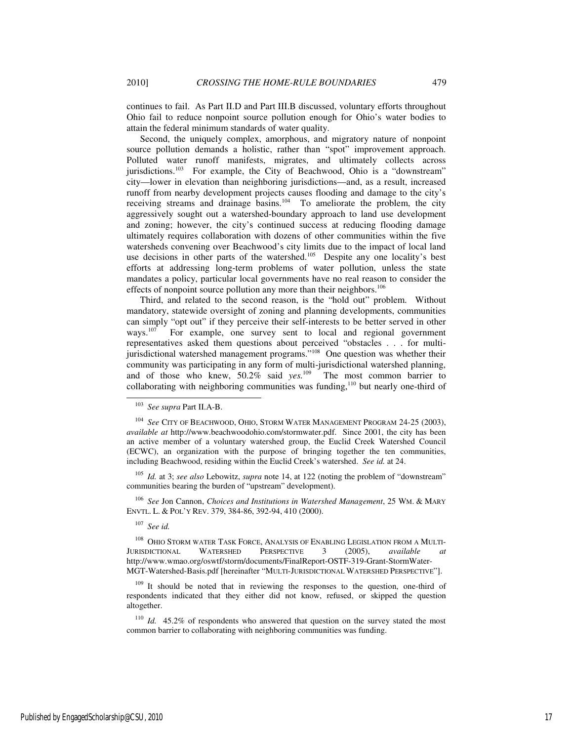continues to fail. As Part II.D and Part III.B discussed, voluntary efforts throughout Ohio fail to reduce nonpoint source pollution enough for Ohio's water bodies to attain the federal minimum standards of water quality.

Second, the uniquely complex, amorphous, and migratory nature of nonpoint source pollution demands a holistic, rather than "spot" improvement approach. Polluted water runoff manifests, migrates, and ultimately collects across jurisdictions.<sup>103</sup> For example, the City of Beachwood, Ohio is a "downstream" city—lower in elevation than neighboring jurisdictions—and, as a result, increased runoff from nearby development projects causes flooding and damage to the city's receiving streams and drainage basins.<sup>104</sup> To ameliorate the problem, the city aggressively sought out a watershed-boundary approach to land use development and zoning; however, the city's continued success at reducing flooding damage ultimately requires collaboration with dozens of other communities within the five watersheds convening over Beachwood's city limits due to the impact of local land use decisions in other parts of the watershed.<sup>105</sup> Despite any one locality's best efforts at addressing long-term problems of water pollution, unless the state mandates a policy, particular local governments have no real reason to consider the effects of nonpoint source pollution any more than their neighbors.<sup>106</sup>

Third, and related to the second reason, is the "hold out" problem. Without mandatory, statewide oversight of zoning and planning developments, communities can simply "opt out" if they perceive their self-interests to be better served in other ways.<sup>107</sup> For example, one survey sent to local and regional government For example, one survey sent to local and regional government representatives asked them questions about perceived "obstacles . . . for multijurisdictional watershed management programs."<sup>108</sup> One question was whether their community was participating in any form of multi-jurisdictional watershed planning, and of those who knew, 50.2% said *yes*.<sup>109</sup> The most common barrier to collaborating with neighboring communities was funding,<sup>110</sup> but nearly one-third of

<sup>105</sup> *Id.* at 3; *see also* Lebowitz, *supra* note 14, at 122 (noting the problem of "downstream" communities bearing the burden of "upstream" development).

<sup>106</sup> *See* Jon Cannon, *Choices and Institutions in Watershed Management*, 25 WM. & MARY ENVTL. L. & POL'Y REV. 379, 384-86, 392-94, 410 (2000).

<sup>107</sup> *See id.* 

-

<sup>108</sup> OHIO STORM WATER TASK FORCE, ANALYSIS OF ENABLING LEGISLATION FROM A MULTI-JURISDICTIONAL WATERSHED PERSPECTIVE 3 (2005), *available at*  http://www.wmao.org/oswtf/storm/documents/FinalReport-OSTF-319-Grant-StormWater-MGT-Watershed-Basis.pdf [hereinafter "MULTI-JURISDICTIONAL WATERSHED PERSPECTIVE"].

<sup>109</sup> It should be noted that in reviewing the responses to the question, one-third of respondents indicated that they either did not know, refused, or skipped the question altogether.

<sup>110</sup> *Id.* 45.2% of respondents who answered that question on the survey stated the most common barrier to collaborating with neighboring communities was funding.

<sup>103</sup> *See supra* Part II.A-B.

<sup>104</sup> *See* CITY OF BEACHWOOD, OHIO, STORM WATER MANAGEMENT PROGRAM 24-25 (2003), *available at* http://www.beachwoodohio.com/stormwater.pdf. Since 2001, the city has been an active member of a voluntary watershed group, the Euclid Creek Watershed Council (ECWC), an organization with the purpose of bringing together the ten communities, including Beachwood, residing within the Euclid Creek's watershed. *See id.* at 24.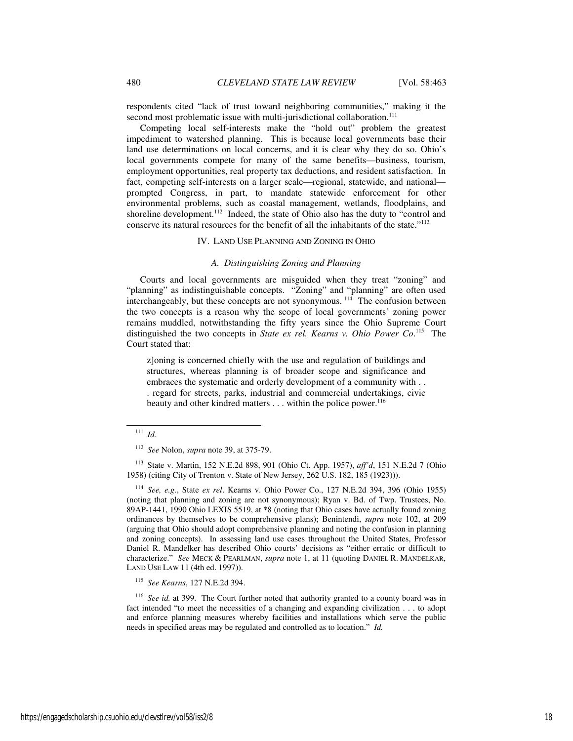respondents cited "lack of trust toward neighboring communities," making it the second most problematic issue with multi-jurisdictional collaboration.<sup>111</sup>

Competing local self-interests make the "hold out" problem the greatest impediment to watershed planning. This is because local governments base their land use determinations on local concerns, and it is clear why they do so. Ohio's local governments compete for many of the same benefits—business, tourism, employment opportunities, real property tax deductions, and resident satisfaction. In fact, competing self-interests on a larger scale—regional, statewide, and national prompted Congress, in part, to mandate statewide enforcement for other environmental problems, such as coastal management, wetlands, floodplains, and shoreline development.<sup>112</sup> Indeed, the state of Ohio also has the duty to "control and conserve its natural resources for the benefit of all the inhabitants of the state."<sup>113</sup>

#### IV. LAND USE PLANNING AND ZONING IN OHIO

## *A. Distinguishing Zoning and Planning*

Courts and local governments are misguided when they treat "zoning" and "planning" as indistinguishable concepts. "Zoning" and "planning" are often used interchangeably, but these concepts are not synonymous.<sup>114</sup> The confusion between the two concepts is a reason why the scope of local governments' zoning power remains muddled, notwithstanding the fifty years since the Ohio Supreme Court distinguished the two concepts in *State ex rel. Kearns v. Ohio Power Co*. <sup>115</sup> The Court stated that:

z]oning is concerned chiefly with the use and regulation of buildings and structures, whereas planning is of broader scope and significance and embraces the systematic and orderly development of a community with . . . regard for streets, parks, industrial and commercial undertakings, civic beauty and other kindred matters . . . within the police power.<sup>116</sup>

j

<sup>113</sup> State v. Martin, 152 N.E.2d 898, 901 (Ohio Ct. App. 1957), *aff'd*, 151 N.E.2d 7 (Ohio 1958) (citing City of Trenton v. State of New Jersey, 262 U.S. 182, 185 (1923))).

<sup>114</sup> *See, e.g.*, State *ex rel*. Kearns v. Ohio Power Co., 127 N.E.2d 394, 396 (Ohio 1955) (noting that planning and zoning are not synonymous); Ryan v. Bd. of Twp. Trustees, No. 89AP-1441, 1990 Ohio LEXIS 5519, at \*8 (noting that Ohio cases have actually found zoning ordinances by themselves to be comprehensive plans); Benintendi, *supra* note 102, at 209 (arguing that Ohio should adopt comprehensive planning and noting the confusion in planning and zoning concepts). In assessing land use cases throughout the United States, Professor Daniel R. Mandelker has described Ohio courts' decisions as "either erratic or difficult to characterize." *See* MECK & PEARLMAN, *supra* note 1, at 11 (quoting DANIEL R. MANDELKAR, LAND USE LAW 11 (4th ed. 1997)).

<sup>115</sup> *See Kearns*, 127 N.E.2d 394.

<sup>116</sup> See id. at 399. The Court further noted that authority granted to a county board was in fact intended "to meet the necessities of a changing and expanding civilization . . . to adopt and enforce planning measures whereby facilities and installations which serve the public needs in specified areas may be regulated and controlled as to location." *Id.* 

 $111$  *Id.* 

<sup>112</sup> *See* Nolon, *supra* note 39, at 375-79.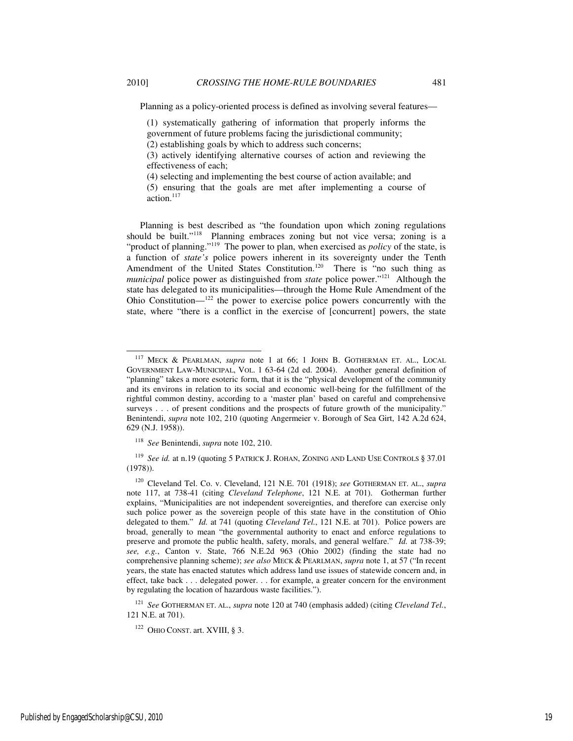-

Planning as a policy-oriented process is defined as involving several features—

(1) systematically gathering of information that properly informs the

- government of future problems facing the jurisdictional community;
- (2) establishing goals by which to address such concerns;

(3) actively identifying alternative courses of action and reviewing the effectiveness of each;

(4) selecting and implementing the best course of action available; and

(5) ensuring that the goals are met after implementing a course of action. $117$ 

Planning is best described as "the foundation upon which zoning regulations should be built."<sup>118</sup> Planning embraces zoning but not vice versa; zoning is a "product of planning."<sup>119</sup> The power to plan, when exercised as *policy* of the state, is a function of *state's* police powers inherent in its sovereignty under the Tenth Amendment of the United States Constitution.<sup>120</sup> There is "no such thing as *municipal* police power as distinguished from *state* police power."<sup>121</sup> Although the state has delegated to its municipalities—through the Home Rule Amendment of the Ohio Constitution— $122$  the power to exercise police powers concurrently with the state, where "there is a conflict in the exercise of [concurrent] powers, the state

<sup>121</sup> *See* GOTHERMAN ET. AL., *supra* note 120 at 740 (emphasis added) (citing *Cleveland Tel.*, 121 N.E. at 701).

 $122$  OHIO CONST. art. XVIII, § 3.

<sup>117</sup> MECK & PEARLMAN, *supra* note 1 at 66; 1 JOHN B. GOTHERMAN ET. AL., LOCAL GOVERNMENT LAW-MUNICIPAL, VOL. 1 63-64 (2d ed. 2004). Another general definition of "planning" takes a more esoteric form, that it is the "physical development of the community and its environs in relation to its social and economic well-being for the fulfillment of the rightful common destiny, according to a 'master plan' based on careful and comprehensive surveys . . . of present conditions and the prospects of future growth of the municipality." Benintendi, *supra* note 102, 210 (quoting Angermeier v. Borough of Sea Girt, 142 A.2d 624, 629 (N.J. 1958)).

<sup>118</sup> *See* Benintendi, *supra* note 102, 210.

<sup>119</sup> *See id.* at n.19 (quoting 5 PATRICK J. ROHAN, ZONING AND LAND USE CONTROLS § 37.01 (1978)).

<sup>120</sup> Cleveland Tel. Co. v. Cleveland, 121 N.E. 701 (1918); *see* GOTHERMAN ET. AL., *supra* note 117, at 738-41 (citing *Cleveland Telephone*, 121 N.E. at 701). Gotherman further explains, "Municipalities are not independent sovereignties, and therefore can exercise only such police power as the sovereign people of this state have in the constitution of Ohio delegated to them." *Id.* at 741 (quoting *Cleveland Tel.*, 121 N.E. at 701). Police powers are broad, generally to mean "the governmental authority to enact and enforce regulations to preserve and promote the public health, safety, morals, and general welfare." *Id.* at 738-39; *see, e.g.*, Canton v. State, 766 N.E.2d 963 (Ohio 2002) (finding the state had no comprehensive planning scheme); *see also* MECK & PEARLMAN, *supra* note 1, at 57 ("In recent years, the state has enacted statutes which address land use issues of statewide concern and, in effect, take back . . . delegated power. . . for example, a greater concern for the environment by regulating the location of hazardous waste facilities.").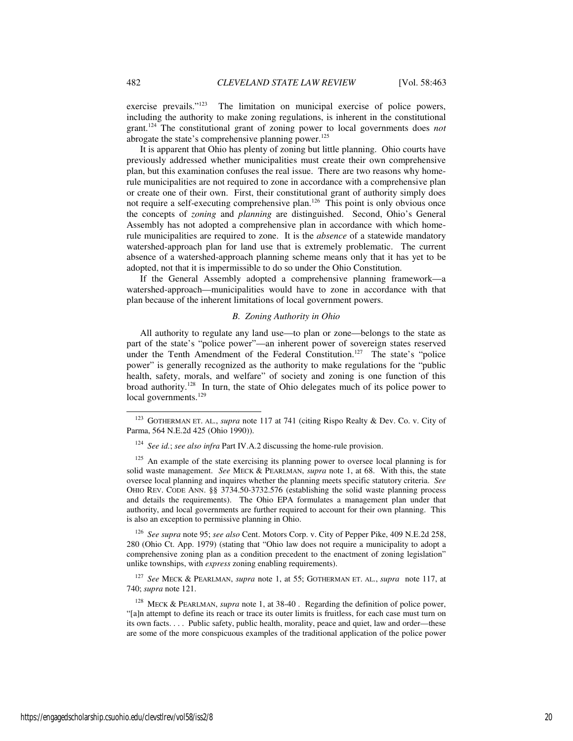exercise prevails."<sup>123</sup> The limitation on municipal exercise of police powers, including the authority to make zoning regulations, is inherent in the constitutional grant.<sup>124</sup> The constitutional grant of zoning power to local governments does *not* abrogate the state's comprehensive planning power.<sup>125</sup>

It is apparent that Ohio has plenty of zoning but little planning. Ohio courts have previously addressed whether municipalities must create their own comprehensive plan, but this examination confuses the real issue. There are two reasons why homerule municipalities are not required to zone in accordance with a comprehensive plan or create one of their own. First, their constitutional grant of authority simply does not require a self-executing comprehensive plan.<sup>126</sup> This point is only obvious once the concepts of *zoning* and *planning* are distinguished. Second, Ohio's General Assembly has not adopted a comprehensive plan in accordance with which homerule municipalities are required to zone. It is the *absence* of a statewide mandatory watershed-approach plan for land use that is extremely problematic. The current absence of a watershed-approach planning scheme means only that it has yet to be adopted, not that it is impermissible to do so under the Ohio Constitution.

If the General Assembly adopted a comprehensive planning framework—a watershed-approach—municipalities would have to zone in accordance with that plan because of the inherent limitations of local government powers.

#### *B. Zoning Authority in Ohio*

All authority to regulate any land use—to plan or zone—belongs to the state as part of the state's "police power"—an inherent power of sovereign states reserved under the Tenth Amendment of the Federal Constitution.<sup>127</sup> The state's "police power" is generally recognized as the authority to make regulations for the "public health, safety, morals, and welfare" of society and zoning is one function of this broad authority.<sup>128</sup> In turn, the state of Ohio delegates much of its police power to local governments.<sup>129</sup>

<sup>126</sup> *See supra* note 95; *see also* Cent. Motors Corp. v. City of Pepper Pike, 409 N.E.2d 258, 280 (Ohio Ct. App. 1979) (stating that "Ohio law does not require a municipality to adopt a comprehensive zoning plan as a condition precedent to the enactment of zoning legislation" unlike townships, with *express* zoning enabling requirements).

<sup>127</sup> *See* MECK & PEARLMAN, *supra* note 1, at 55; GOTHERMAN ET. AL., *supra* note 117, at 740; *supra* note 121.

<sup>128</sup> MECK & PEARLMAN, *supra* note 1, at 38-40 . Regarding the definition of police power, "[a]n attempt to define its reach or trace its outer limits is fruitless, for each case must turn on its own facts. . . . Public safety, public health, morality, peace and quiet, law and order—these are some of the more conspicuous examples of the traditional application of the police power

<sup>123</sup> GOTHERMAN ET. AL., *supra* note 117 at 741 (citing Rispo Realty & Dev. Co. v. City of Parma, 564 N.E.2d 425 (Ohio 1990)).

<sup>124</sup> *See id.*; *see also infra* Part IV.A.2 discussing the home-rule provision.

 $125$  An example of the state exercising its planning power to oversee local planning is for solid waste management. *See* MECK & PEARLMAN, *supra* note 1, at 68. With this, the state oversee local planning and inquires whether the planning meets specific statutory criteria. *See*  OHIO REV. CODE ANN. §§ 3734.50-3732.576 (establishing the solid waste planning process and details the requirements). The Ohio EPA formulates a management plan under that authority, and local governments are further required to account for their own planning. This is also an exception to permissive planning in Ohio.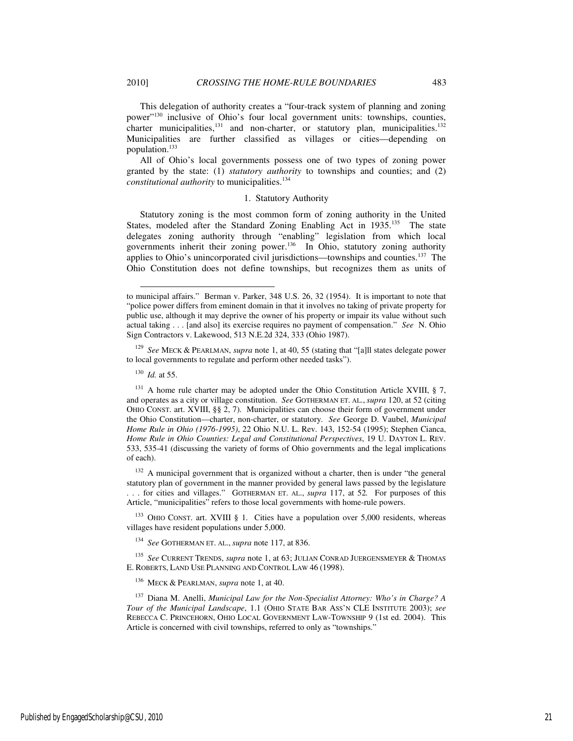This delegation of authority creates a "four-track system of planning and zoning power"<sup>130</sup> inclusive of Ohio's four local government units: townships, counties, charter municipalities, $131$  and non-charter, or statutory plan, municipalities.<sup>132</sup> Municipalities are further classified as villages or cities—depending on population.<sup>133</sup>

All of Ohio's local governments possess one of two types of zoning power granted by the state: (1) *statutory authority* to townships and counties; and (2) *constitutional authority* to municipalities.<sup>134</sup>

#### 1. Statutory Authority

Statutory zoning is the most common form of zoning authority in the United States, modeled after the Standard Zoning Enabling Act in 1935.<sup>135</sup> The state delegates zoning authority through "enabling" legislation from which local governments inherit their zoning power.<sup>136</sup> In Ohio, statutory zoning authority applies to Ohio's unincorporated civil jurisdictions—townships and counties.<sup>137</sup> The Ohio Constitution does not define townships, but recognizes them as units of

<sup>129</sup> *See* MECK & PEARLMAN, *supra* note 1, at 40, 55 (stating that "[a]ll states delegate power to local governments to regulate and perform other needed tasks").

<sup>130</sup> *Id.* at 55.

j

 $131$  A home rule charter may be adopted under the Ohio Constitution Article XVIII, § 7, and operates as a city or village constitution. *See* GOTHERMAN ET. AL., *supra* 120, at 52 (citing OHIO CONST. art. XVIII, §§ 2, 7). Municipalities can choose their form of government under the Ohio Constitution—charter, non-charter, or statutory. *See* George D. Vaubel, *Municipal Home Rule in Ohio (1976-1995)*, 22 Ohio N.U. L. Rev. 143, 152-54 (1995); Stephen Cianca, *Home Rule in Ohio Counties: Legal and Constitutional Perspectives*, 19 U. DAYTON L. REV. 533, 535-41 (discussing the variety of forms of Ohio governments and the legal implications of each).

<sup>132</sup> A municipal government that is organized without a charter, then is under "the general statutory plan of government in the manner provided by general laws passed by the legislature . . . for cities and villages." GOTHERMAN ET. AL., *supra* 117, at 52*.* For purposes of this

Article, "municipalities" refers to those local governments with home-rule powers.

<sup>133</sup> OHIO CONST. art. XVIII § 1. Cities have a population over 5,000 residents, whereas villages have resident populations under 5,000.

<sup>134</sup> *See* GOTHERMAN ET. AL., *supra* note 117, at 836.

<sup>135</sup> *See* CURRENT TRENDS, *supra* note 1, at 63; JULIAN CONRAD JUERGENSMEYER & THOMAS E. ROBERTS, LAND USE PLANNING AND CONTROL LAW 46 (1998).

<sup>136</sup> MECK & PEARLMAN, *supra* note 1, at 40.

<sup>137</sup> Diana M. Anelli, *Municipal Law for the Non-Specialist Attorney: Who's in Charge? A Tour of the Municipal Landscape*, 1.1 (OHIO STATE BAR ASS'N CLE INSTITUTE 2003); *see* REBECCA C. PRINCEHORN, OHIO LOCAL GOVERNMENT LAW-TOWNSHIP 9 (1st ed. 2004). This Article is concerned with civil townships, referred to only as "townships."

to municipal affairs." Berman v. Parker, 348 U.S. 26, 32 (1954). It is important to note that "police power differs from eminent domain in that it involves no taking of private property for public use, although it may deprive the owner of his property or impair its value without such actual taking . . . [and also] its exercise requires no payment of compensation." *See* N. Ohio Sign Contractors v. Lakewood, 513 N.E.2d 324, 333 (Ohio 1987).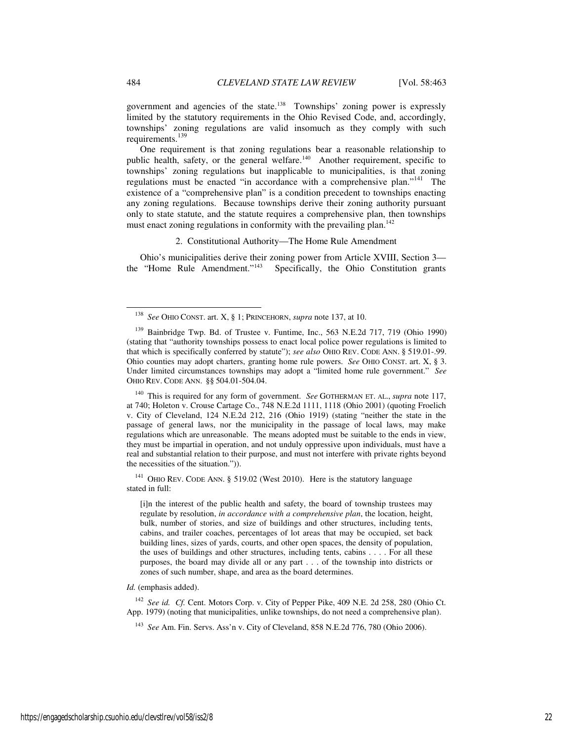government and agencies of the state.<sup>138</sup> Townships' zoning power is expressly limited by the statutory requirements in the Ohio Revised Code, and, accordingly, townships' zoning regulations are valid insomuch as they comply with such requirements.<sup>139</sup>

One requirement is that zoning regulations bear a reasonable relationship to public health, safety, or the general welfare.<sup>140</sup> Another requirement, specific to townships' zoning regulations but inapplicable to municipalities, is that zoning regulations must be enacted "in accordance with a comprehensive plan."<sup>141</sup> The existence of a "comprehensive plan" is a condition precedent to townships enacting any zoning regulations. Because townships derive their zoning authority pursuant only to state statute, and the statute requires a comprehensive plan, then townships must enact zoning regulations in conformity with the prevailing plan.<sup>142</sup>

2. Constitutional Authority—The Home Rule Amendment

Ohio's municipalities derive their zoning power from Article XVIII, Section 3 the "Home Rule Amendment."<sup>143</sup> Specifically, the Ohio Constitution grants

<sup>140</sup> This is required for any form of government. *See* GOTHERMAN ET. AL., *supra* note 117, at 740; Holeton v. Crouse Cartage Co., 748 N.E.2d 1111, 1118 (Ohio 2001) (quoting Froelich v. City of Cleveland, 124 N.E.2d 212, 216 (Ohio 1919) (stating "neither the state in the passage of general laws, nor the municipality in the passage of local laws, may make regulations which are unreasonable. The means adopted must be suitable to the ends in view, they must be impartial in operation, and not unduly oppressive upon individuals, must have a real and substantial relation to their purpose, and must not interfere with private rights beyond the necessities of the situation.")).

<sup>141</sup> OHIO REV. CODE ANN. § 519.02 (West 2010). Here is the statutory language stated in full:

[i]n the interest of the public health and safety, the board of township trustees may regulate by resolution, *in accordance with a comprehensive plan*, the location, height, bulk, number of stories, and size of buildings and other structures, including tents, cabins, and trailer coaches, percentages of lot areas that may be occupied, set back building lines, sizes of yards, courts, and other open spaces, the density of population, the uses of buildings and other structures, including tents, cabins . . . . For all these purposes, the board may divide all or any part . . . of the township into districts or zones of such number, shape, and area as the board determines.

#### *Id.* (emphasis added).

<sup>142</sup> See id. Cf. Cent. Motors Corp. v. City of Pepper Pike, 409 N.E. 2d 258, 280 (Ohio Ct. App. 1979) (noting that municipalities, unlike townships, do not need a comprehensive plan).

<sup>143</sup> *See* Am. Fin. Servs. Ass'n v. City of Cleveland, 858 N.E.2d 776, 780 (Ohio 2006).

<sup>138</sup> *See* OHIO CONST. art. X, § 1; PRINCEHORN, *supra* note 137, at 10.

<sup>&</sup>lt;sup>139</sup> Bainbridge Twp. Bd. of Trustee v. Funtime, Inc., 563 N.E.2d 717, 719 (Ohio 1990) (stating that "authority townships possess to enact local police power regulations is limited to that which is specifically conferred by statute"); *see also* OHIO REV. CODE ANN. § 519.01-.99. Ohio counties may adopt charters, granting home rule powers. *See* OHIO CONST. art. X, § 3. Under limited circumstances townships may adopt a "limited home rule government." *See*  OHIO REV. CODE ANN. §§ 504.01-504.04.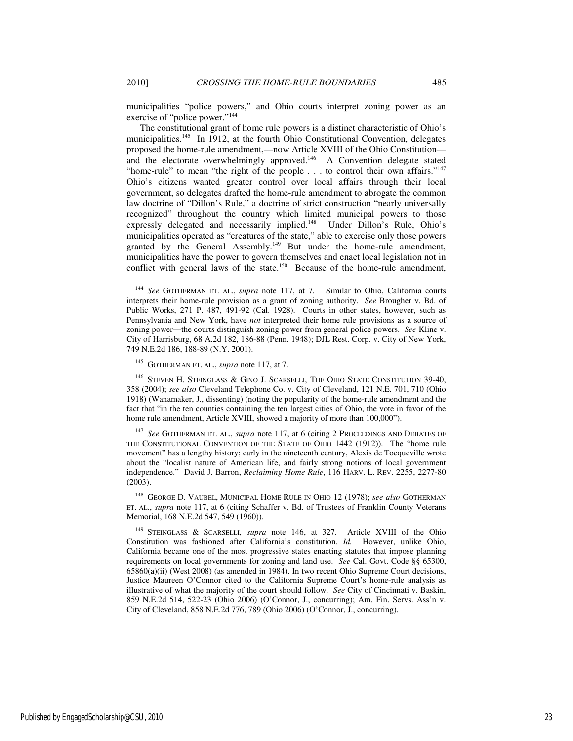-

municipalities "police powers," and Ohio courts interpret zoning power as an exercise of "police power."<sup>144</sup>

The constitutional grant of home rule powers is a distinct characteristic of Ohio's municipalities.<sup>145</sup> In 1912, at the fourth Ohio Constitutional Convention, delegates proposed the home-rule amendment,—now Article XVIII of the Ohio Constitution and the electorate overwhelmingly approved.<sup>146</sup> A Convention delegate stated "home-rule" to mean "the right of the people . . . to control their own affairs."<sup>147</sup> Ohio's citizens wanted greater control over local affairs through their local government, so delegates drafted the home-rule amendment to abrogate the common law doctrine of "Dillon's Rule," a doctrine of strict construction "nearly universally recognized" throughout the country which limited municipal powers to those expressly delegated and necessarily implied.<sup>148</sup> Under Dillon's Rule, Ohio's municipalities operated as "creatures of the state," able to exercise only those powers granted by the General Assembly.<sup>149</sup> But under the home-rule amendment, municipalities have the power to govern themselves and enact local legislation not in conflict with general laws of the state.<sup>150</sup> Because of the home-rule amendment,

 $^{146}$  STEVEN H. STEINGLASS & GINO J. SCARSELLI, THE OHIO STATE CONSTITUTION 39-40, 358 (2004); *see also* Cleveland Telephone Co. v. City of Cleveland, 121 N.E. 701, 710 (Ohio 1918) (Wanamaker, J., dissenting) (noting the popularity of the home-rule amendment and the fact that "in the ten counties containing the ten largest cities of Ohio, the vote in favor of the home rule amendment, Article XVIII, showed a majority of more than 100,000").

<sup>147</sup> *See* GOTHERMAN ET. AL., *supra* note 117, at 6 (citing 2 PROCEEDINGS AND DEBATES OF THE CONSTITUTIONAL CONVENTION OF THE STATE OF OHIO 1442 (1912)). The "home rule movement" has a lengthy history; early in the nineteenth century, Alexis de Tocqueville wrote about the "localist nature of American life, and fairly strong notions of local government independence." David J. Barron, *Reclaiming Home Rule*, 116 HARV. L. REV. 2255, 2277-80 (2003).

<sup>148</sup> GEORGE D. VAUBEL, MUNICIPAL HOME RULE IN OHIO 12 (1978); *see also* GOTHERMAN ET. AL., *supra* note 117, at 6 (citing Schaffer v. Bd. of Trustees of Franklin County Veterans Memorial, 168 N.E.2d 547, 549 (1960)).

<sup>149</sup> STEINGLASS & SCARSELLI, *supra* note 146, at 327. Article XVIII of the Ohio Constitution was fashioned after California's constitution. *Id.* However, unlike Ohio, California became one of the most progressive states enacting statutes that impose planning requirements on local governments for zoning and land use. *See* Cal. Govt. Code §§ 65300, 65860(a)(ii) (West 2008) (as amended in 1984). In two recent Ohio Supreme Court decisions, Justice Maureen O'Connor cited to the California Supreme Court's home-rule analysis as illustrative of what the majority of the court should follow. *See* City of Cincinnati v. Baskin, 859 N.E.2d 514, 522-23 (Ohio 2006) (O'Connor, J., concurring); Am. Fin. Servs. Ass'n v. City of Cleveland, 858 N.E.2d 776, 789 (Ohio 2006) (O'Connor, J., concurring).

<sup>144</sup> *See* GOTHERMAN ET. AL., *supra* note 117, at 7*.* Similar to Ohio, California courts interprets their home-rule provision as a grant of zoning authority. *See* Brougher v. Bd. of Public Works, 271 P. 487, 491-92 (Cal. 1928). Courts in other states, however, such as Pennsylvania and New York, have *not* interpreted their home rule provisions as a source of zoning power—the courts distinguish zoning power from general police powers. *See* Kline v. City of Harrisburg, 68 A.2d 182, 186-88 (Penn. 1948); DJL Rest. Corp. v. City of New York, 749 N.E.2d 186, 188-89 (N.Y. 2001).

<sup>145</sup> GOTHERMAN ET. AL., *supra* note 117, at 7.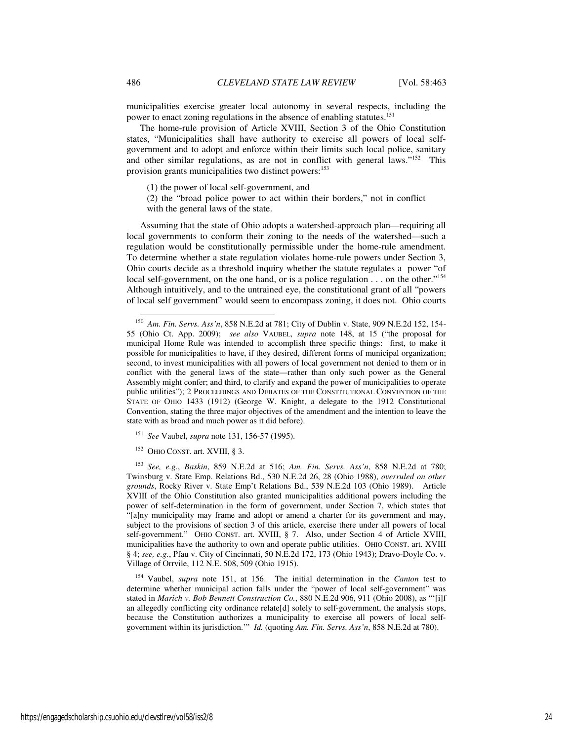municipalities exercise greater local autonomy in several respects, including the power to enact zoning regulations in the absence of enabling statutes.<sup>151</sup>

The home-rule provision of Article XVIII, Section 3 of the Ohio Constitution states, "Municipalities shall have authority to exercise all powers of local selfgovernment and to adopt and enforce within their limits such local police, sanitary and other similar regulations, as are not in conflict with general laws."<sup>152</sup> This provision grants municipalities two distinct powers:<sup>153</sup>

(1) the power of local self-government, and

(2) the "broad police power to act within their borders," not in conflict with the general laws of the state.

Assuming that the state of Ohio adopts a watershed-approach plan—requiring all local governments to conform their zoning to the needs of the watershed—such a regulation would be constitutionally permissible under the home-rule amendment. To determine whether a state regulation violates home-rule powers under Section 3, Ohio courts decide as a threshold inquiry whether the statute regulates a power "of local self-government, on the one hand, or is a police regulation . . . on the other."<sup>154</sup> Although intuitively, and to the untrained eye, the constitutional grant of all "powers of local self government" would seem to encompass zoning, it does not. Ohio courts

<sup>151</sup> *See* Vaubel, *supra* note 131, 156-57 (1995).

<sup>152</sup> OHIO CONST. art. XVIII, § 3.

<sup>153</sup> *See, e.g.*, *Baskin*, 859 N.E.2d at 516; *Am. Fin. Servs. Ass'n*, 858 N.E.2d at 780; Twinsburg v. State Emp. Relations Bd., 530 N.E.2d 26, 28 (Ohio 1988), *overruled on other grounds*, Rocky River v. State Emp't Relations Bd., 539 N.E.2d 103 (Ohio 1989). Article XVIII of the Ohio Constitution also granted municipalities additional powers including the power of self-determination in the form of government, under Section 7, which states that "[a]ny municipality may frame and adopt or amend a charter for its government and may, subject to the provisions of section 3 of this article, exercise there under all powers of local self-government." OHIO CONST. art. XVIII, § 7. Also, under Section 4 of Article XVIII, municipalities have the authority to own and operate public utilities. OHIO CONST. art. XVIII § 4; *see, e.g.*, Pfau v. City of Cincinnati, 50 N.E.2d 172, 173 (Ohio 1943); Dravo-Doyle Co. v. Village of Orrvile, 112 N.E. 508, 509 (Ohio 1915).

<sup>154</sup> Vaubel, *supra* note 151, at 156. The initial determination in the *Canton* test to determine whether municipal action falls under the "power of local self-government" was stated in *Marich v. Bob Bennett Construction Co.*, 880 N.E.2d 906, 911 (Ohio 2008), as "'[i]f an allegedly conflicting city ordinance relate[d] solely to self-government, the analysis stops, because the Constitution authorizes a municipality to exercise all powers of local selfgovernment within its jurisdiction.'" *Id.* (quoting *Am. Fin. Servs. Ass'n*, 858 N.E.2d at 780).

<sup>150</sup> *Am. Fin. Servs. Ass'n*, 858 N.E.2d at 781; City of Dublin v. State, 909 N.E.2d 152, 154- 55 (Ohio Ct. App. 2009); *see also* VAUBEL, *supra* note 148, at 15 ("the proposal for municipal Home Rule was intended to accomplish three specific things: first, to make it possible for municipalities to have, if they desired, different forms of municipal organization; second, to invest municipalities with all powers of local government not denied to them or in conflict with the general laws of the state—rather than only such power as the General Assembly might confer; and third, to clarify and expand the power of municipalities to operate public utilities"); 2 PROCEEDINGS AND DEBATES OF THE CONSTITUTIONAL CONVENTION OF THE STATE OF OHIO 1433 (1912) (George W. Knight, a delegate to the 1912 Constitutional Convention, stating the three major objectives of the amendment and the intention to leave the state with as broad and much power as it did before).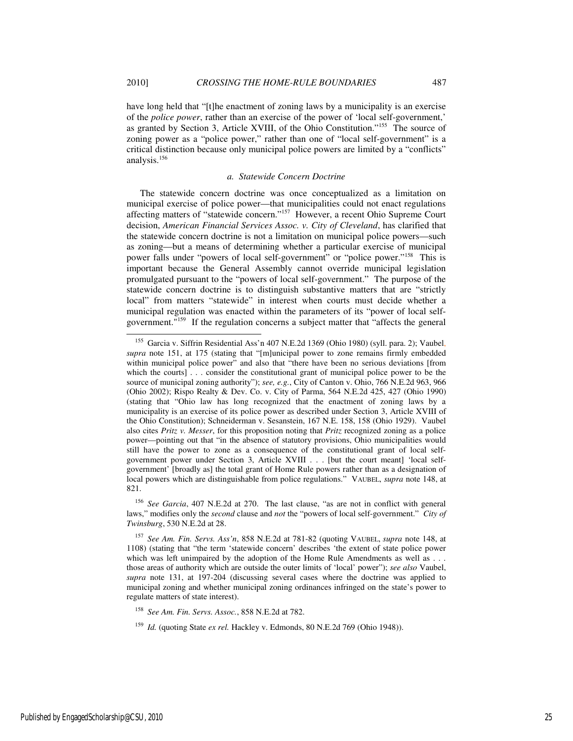j

have long held that "[t]he enactment of zoning laws by a municipality is an exercise of the *police power*, rather than an exercise of the power of 'local self-government,' as granted by Section 3, Article XVIII, of the Ohio Constitution."<sup>155</sup> The source of zoning power as a "police power," rather than one of "local self-government" is a critical distinction because only municipal police powers are limited by a "conflicts" analysis.<sup>156</sup>

#### *a. Statewide Concern Doctrine*

The statewide concern doctrine was once conceptualized as a limitation on municipal exercise of police power—that municipalities could not enact regulations affecting matters of "statewide concern."<sup>157</sup> However, a recent Ohio Supreme Court decision, *American Financial Services Assoc. v. City of Cleveland*, has clarified that the statewide concern doctrine is not a limitation on municipal police powers—such as zoning—but a means of determining whether a particular exercise of municipal power falls under "powers of local self-government" or "police power."<sup>158</sup> This is important because the General Assembly cannot override municipal legislation promulgated pursuant to the "powers of local self-government." The purpose of the statewide concern doctrine is to distinguish substantive matters that are "strictly local" from matters "statewide" in interest when courts must decide whether a municipal regulation was enacted within the parameters of its "power of local selfgovernment."<sup>159</sup> If the regulation concerns a subject matter that "affects the general

<sup>156</sup> *See Garcia*, 407 N.E.2d at 270. The last clause, "as are not in conflict with general laws," modifies only the *second* clause and *not* the "powers of local self-government." *City of Twinsburg*, 530 N.E.2d at 28.

<sup>155</sup> Garcia v. Siffrin Residential Ass'n 407 N.E.2d 1369 (Ohio 1980) (syll. para. 2); Vaubel, *supra* note 151, at 175 (stating that "[m]unicipal power to zone remains firmly embedded within municipal police power" and also that "there have been no serious deviations [from which the courts] . . . consider the constitutional grant of municipal police power to be the source of municipal zoning authority"); *see, e.g.*, City of Canton v. Ohio, 766 N.E.2d 963, 966 (Ohio 2002); Rispo Realty & Dev. Co. v. City of Parma, 564 N.E.2d 425, 427 (Ohio 1990) (stating that "Ohio law has long recognized that the enactment of zoning laws by a municipality is an exercise of its police power as described under Section 3, Article XVIII of the Ohio Constitution); Schneiderman v. Sesanstein, 167 N.E. 158, 158 (Ohio 1929). Vaubel also cites *Pritz v. Messer*, for this proposition noting that *Pritz* recognized zoning as a police power—pointing out that "in the absence of statutory provisions, Ohio municipalities would still have the power to zone as a consequence of the constitutional grant of local selfgovernment power under Section 3, Article XVIII . . . [but the court meant] 'local selfgovernment' [broadly as] the total grant of Home Rule powers rather than as a designation of local powers which are distinguishable from police regulations." VAUBEL, *supra* note 148, at 821.

<sup>157</sup> *See Am. Fin. Servs. Ass'n*, 858 N.E.2d at 781-82 (quoting VAUBEL, *supra* note 148, at 1108) (stating that "the term 'statewide concern' describes 'the extent of state police power which was left unimpaired by the adoption of the Home Rule Amendments as well as . . . those areas of authority which are outside the outer limits of 'local' power"); *see also* Vaubel, *supra* note 131, at 197-204 (discussing several cases where the doctrine was applied to municipal zoning and whether municipal zoning ordinances infringed on the state's power to regulate matters of state interest).

<sup>158</sup> *See Am. Fin. Servs. Assoc.*, 858 N.E.2d at 782.

<sup>159</sup> *Id.* (quoting State *ex rel.* Hackley v. Edmonds, 80 N.E.2d 769 (Ohio 1948)).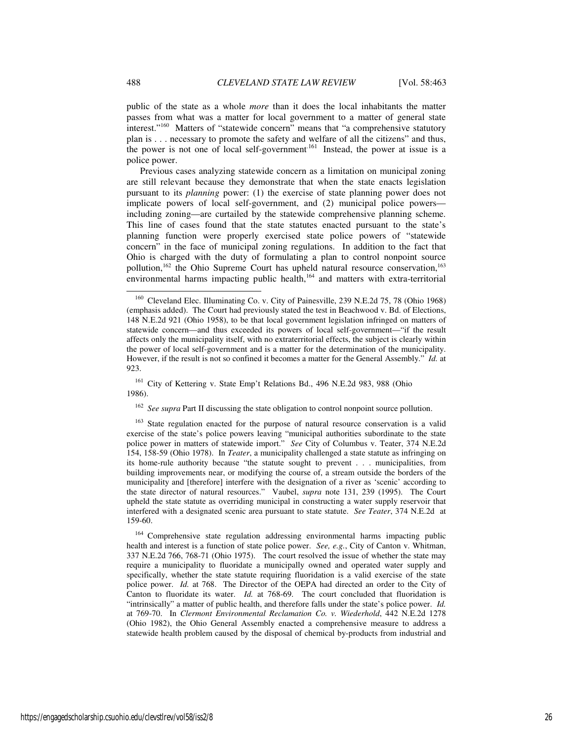public of the state as a whole *more* than it does the local inhabitants the matter passes from what was a matter for local government to a matter of general state interest."<sup>160</sup> Matters of "statewide concern" means that "a comprehensive statutory plan is . . . necessary to promote the safety and welfare of all the citizens" and thus, the power is not one of local self-government.<sup>161</sup> Instead, the power at issue is a police power.

Previous cases analyzing statewide concern as a limitation on municipal zoning are still relevant because they demonstrate that when the state enacts legislation pursuant to its *planning* power: (1) the exercise of state planning power does not implicate powers of local self-government, and (2) municipal police powers including zoning—are curtailed by the statewide comprehensive planning scheme. This line of cases found that the state statutes enacted pursuant to the state's planning function were properly exercised state police powers of "statewide concern" in the face of municipal zoning regulations. In addition to the fact that Ohio is charged with the duty of formulating a plan to control nonpoint source pollution,<sup>162</sup> the Ohio Supreme Court has upheld natural resource conservation,<sup>163</sup> environmental harms impacting public health,<sup>164</sup> and matters with extra-territorial

<sup>161</sup> City of Kettering v. State Emp't Relations Bd., 496 N.E.2d 983, 988 (Ohio 1986).

<sup>162</sup> See supra Part II discussing the state obligation to control nonpoint source pollution.

<sup>163</sup> State regulation enacted for the purpose of natural resource conservation is a valid exercise of the state's police powers leaving "municipal authorities subordinate to the state police power in matters of statewide import." *See* City of Columbus v. Teater, 374 N.E.2d 154, 158-59 (Ohio 1978). In *Teater*, a municipality challenged a state statute as infringing on its home-rule authority because "the statute sought to prevent . . . municipalities, from building improvements near, or modifying the course of, a stream outside the borders of the municipality and [therefore] interfere with the designation of a river as 'scenic' according to the state director of natural resources." Vaubel, *supra* note 131, 239 (1995). The Court upheld the state statute as overriding municipal in constructing a water supply reservoir that interfered with a designated scenic area pursuant to state statute. *See Teater*, 374 N.E.2d at 159-60.

<sup>164</sup> Comprehensive state regulation addressing environmental harms impacting public health and interest is a function of state police power. *See, e.g.*, City of Canton v. Whitman, 337 N.E.2d 766, 768-71 (Ohio 1975). The court resolved the issue of whether the state may require a municipality to fluoridate a municipally owned and operated water supply and specifically, whether the state statute requiring fluoridation is a valid exercise of the state police power. *Id.* at 768. The Director of the OEPA had directed an order to the City of Canton to fluoridate its water. *Id.* at 768-69. The court concluded that fluoridation is "intrinsically" a matter of public health, and therefore falls under the state's police power. *Id.* at 769-70.In *Clermont Environmental Reclamation Co. v. Wiederhold*, 442 N.E.2d 1278 (Ohio 1982), the Ohio General Assembly enacted a comprehensive measure to address a statewide health problem caused by the disposal of chemical by-products from industrial and

<sup>&</sup>lt;sup>160</sup> Cleveland Elec. Illuminating Co. v. City of Painesville, 239 N.E.2d 75, 78 (Ohio 1968) (emphasis added). The Court had previously stated the test in Beachwood v. Bd. of Elections, 148 N.E.2d 921 (Ohio 1958), to be that local government legislation infringed on matters of statewide concern—and thus exceeded its powers of local self-government—"if the result affects only the municipality itself, with no extraterritorial effects, the subject is clearly within the power of local self-government and is a matter for the determination of the municipality. However, if the result is not so confined it becomes a matter for the General Assembly." *Id.* at 923.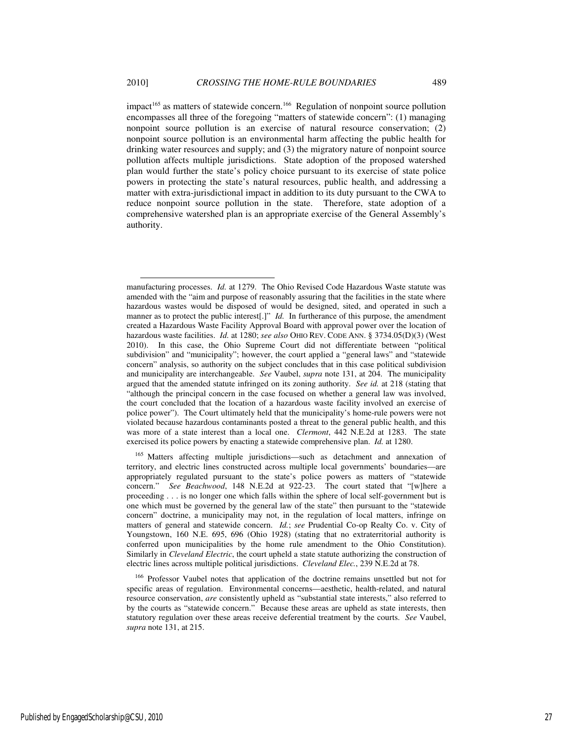impact<sup>165</sup> as matters of statewide concern.<sup>166</sup> Regulation of nonpoint source pollution encompasses all three of the foregoing "matters of statewide concern": (1) managing nonpoint source pollution is an exercise of natural resource conservation; (2) nonpoint source pollution is an environmental harm affecting the public health for drinking water resources and supply; and (3) the migratory nature of nonpoint source pollution affects multiple jurisdictions. State adoption of the proposed watershed plan would further the state's policy choice pursuant to its exercise of state police powers in protecting the state's natural resources, public health, and addressing a matter with extra-jurisdictional impact in addition to its duty pursuant to the CWA to reduce nonpoint source pollution in the state. Therefore, state adoption of a comprehensive watershed plan is an appropriate exercise of the General Assembly's authority.

<sup>165</sup> Matters affecting multiple jurisdictions—such as detachment and annexation of territory, and electric lines constructed across multiple local governments' boundaries—are appropriately regulated pursuant to the state's police powers as matters of "statewide concern." *See Beachwood*, 148 N.E.2d at 922-23. The court stated that "[w]here a proceeding . . . is no longer one which falls within the sphere of local self-government but is one which must be governed by the general law of the state" then pursuant to the "statewide concern" doctrine, a municipality may not, in the regulation of local matters, infringe on matters of general and statewide concern. *Id.*; *see* Prudential Co-op Realty Co. v. City of Youngstown, 160 N.E. 695, 696 (Ohio 1928) (stating that no extraterritorial authority is conferred upon municipalities by the home rule amendment to the Ohio Constitution). Similarly in *Cleveland Electric*, the court upheld a state statute authorizing the construction of electric lines across multiple political jurisdictions. *Cleveland Elec.*, 239 N.E.2d at 78.

<sup>166</sup> Professor Vaubel notes that application of the doctrine remains unsettled but not for specific areas of regulation. Environmental concerns—aesthetic, health-related, and natural resource conservation, are consistently upheld as "substantial state interests," also referred to by the courts as "statewide concern." Because these areas are upheld as state interests, then statutory regulation over these areas receive deferential treatment by the courts. *See* Vaubel, *supra* note 131, at 215.

manufacturing processes. *Id.* at 1279. The Ohio Revised Code Hazardous Waste statute was amended with the "aim and purpose of reasonably assuring that the facilities in the state where hazardous wastes would be disposed of would be designed, sited, and operated in such a manner as to protect the public interest[.]" *Id.* In furtherance of this purpose, the amendment created a Hazardous Waste Facility Approval Board with approval power over the location of hazardous waste facilities. *Id.* at 1280; *see also* OHIO REV. CODE ANN. § 3734.05(D)(3) (West 2010). In this case, the Ohio Supreme Court did not differentiate between "political subdivision" and "municipality"; however, the court applied a "general laws" and "statewide concern" analysis, so authority on the subject concludes that in this case political subdivision and municipality are interchangeable. *See* Vaubel, *supra* note 131, at 204. The municipality argued that the amended statute infringed on its zoning authority. *See id.* at 218 (stating that "although the principal concern in the case focused on whether a general law was involved, the court concluded that the location of a hazardous waste facility involved an exercise of police power"). The Court ultimately held that the municipality's home-rule powers were not violated because hazardous contaminants posted a threat to the general public health, and this was more of a state interest than a local one. *Clermont*, 442 N.E.2d at 1283. The state exercised its police powers by enacting a statewide comprehensive plan. *Id.* at 1280.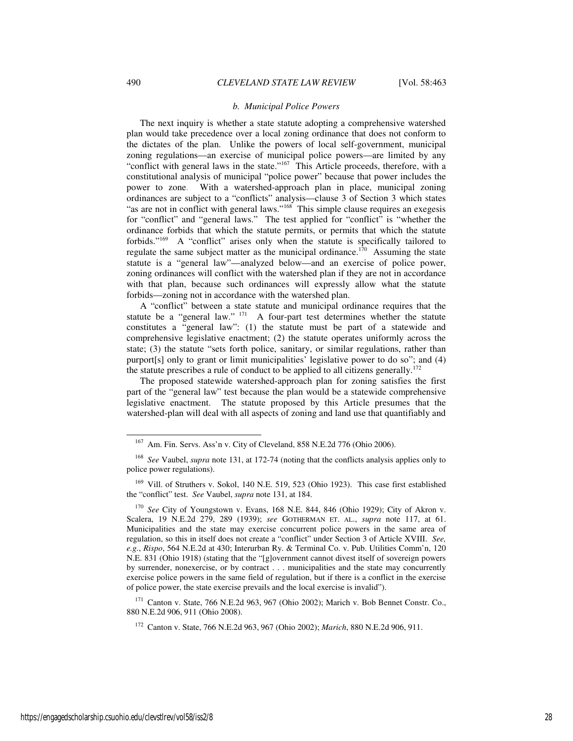#### *b. Municipal Police Powers*

The next inquiry is whether a state statute adopting a comprehensive watershed plan would take precedence over a local zoning ordinance that does not conform to the dictates of the plan. Unlike the powers of local self-government, municipal zoning regulations—an exercise of municipal police powers—are limited by any "conflict with general laws in the state."<sup>167</sup> This Article proceeds, therefore, with a constitutional analysis of municipal "police power" because that power includes the power to zone. With a watershed-approach plan in place, municipal zoning ordinances are subject to a "conflicts" analysis—clause 3 of Section 3 which states "as are not in conflict with general laws."<sup>168</sup> This simple clause requires an exegesis for "conflict" and "general laws." The test applied for "conflict" is "whether the ordinance forbids that which the statute permits, or permits that which the statute forbids."<sup>169</sup> A "conflict" arises only when the statute is specifically tailored to regulate the same subject matter as the municipal ordinance.<sup>170</sup> Assuming the state statute is a "general law"—analyzed below—and an exercise of police power, zoning ordinances will conflict with the watershed plan if they are not in accordance with that plan, because such ordinances will expressly allow what the statute forbids—zoning not in accordance with the watershed plan.

A "conflict" between a state statute and municipal ordinance requires that the statute be a "general law." <sup>171</sup> A four-part test determines whether the statute constitutes a "general law": (1) the statute must be part of a statewide and comprehensive legislative enactment; (2) the statute operates uniformly across the state; (3) the statute "sets forth police, sanitary, or similar regulations, rather than purport[s] only to grant or limit municipalities' legislative power to do so"; and (4) the statute prescribes a rule of conduct to be applied to all citizens generally.<sup>172</sup>

The proposed statewide watershed-approach plan for zoning satisfies the first part of the "general law" test because the plan would be a statewide comprehensive legislative enactment. The statute proposed by this Article presumes that the watershed-plan will deal with all aspects of zoning and land use that quantifiably and

<sup>171</sup> Canton v. State, 766 N.E.2d 963, 967 (Ohio 2002); Marich v. Bob Bennet Constr. Co., 880 N.E.2d 906, 911 (Ohio 2008).

<sup>167</sup> Am. Fin. Servs. Ass'n v. City of Cleveland, 858 N.E.2d 776 (Ohio 2006).

<sup>168</sup> *See* Vaubel, *supra* note 131, at 172-74 (noting that the conflicts analysis applies only to police power regulations).

<sup>&</sup>lt;sup>169</sup> Vill. of Struthers v. Sokol, 140 N.E. 519, 523 (Ohio 1923). This case first established the "conflict" test. *See* Vaubel, *supra* note 131, at 184.

<sup>170</sup> *See* City of Youngstown v. Evans, 168 N.E. 844, 846 (Ohio 1929); City of Akron v. Scalera, 19 N.E.2d 279, 289 (1939); *see* GOTHERMAN ET. AL., *supra* note 117, at 61. Municipalities and the state may exercise concurrent police powers in the same area of regulation, so this in itself does not create a "conflict" under Section 3 of Article XVIII. *See, e.g.*, *Rispo*, 564 N.E.2d at 430; Interurban Ry. & Terminal Co. v. Pub. Utilities Comm'n, 120 N.E. 831 (Ohio 1918) (stating that the "[g]overnment cannot divest itself of sovereign powers by surrender, nonexercise, or by contract . . . municipalities and the state may concurrently exercise police powers in the same field of regulation, but if there is a conflict in the exercise of police power, the state exercise prevails and the local exercise is invalid").

<sup>172</sup> Canton v. State, 766 N.E.2d 963, 967 (Ohio 2002); *Marich*, 880 N.E.2d 906, 911.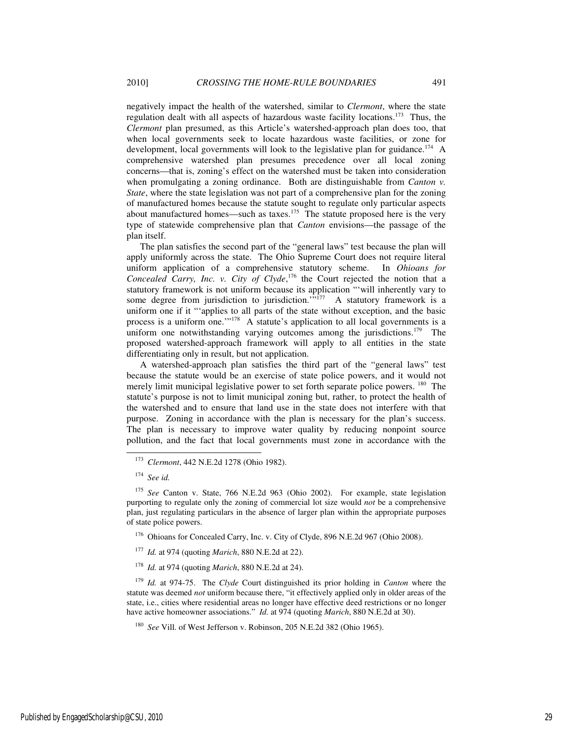negatively impact the health of the watershed, similar to *Clermont*, where the state regulation dealt with all aspects of hazardous waste facility locations.<sup>173</sup> Thus, the *Clermont* plan presumed, as this Article's watershed-approach plan does too, that when local governments seek to locate hazardous waste facilities, or zone for development, local governments will look to the legislative plan for guidance.<sup>174</sup> A comprehensive watershed plan presumes precedence over all local zoning concerns—that is, zoning's effect on the watershed must be taken into consideration when promulgating a zoning ordinance. Both are distinguishable from *Canton v. State*, where the state legislation was not part of a comprehensive plan for the zoning of manufactured homes because the statute sought to regulate only particular aspects about manufactured homes—such as taxes.<sup>175</sup> The statute proposed here is the very type of statewide comprehensive plan that *Canton* envisions—the passage of the plan itself.

The plan satisfies the second part of the "general laws" test because the plan will apply uniformly across the state. The Ohio Supreme Court does not require literal uniform application of a comprehensive statutory scheme. In *Ohioans for Concealed Carry, Inc. v. City of Clyde*, <sup>176</sup> the Court rejected the notion that a statutory framework is not uniform because its application "'will inherently vary to some degree from jurisdiction to jurisdiction.<sup> $\cdot \cdot \cdot$ 177</sup> A statutory framework is a uniform one if it "'applies to all parts of the state without exception, and the basic process is a uniform one."<sup>178</sup> A statute's application to all local governments is a uniform one notwithstanding varying outcomes among the jurisdictions.<sup>179</sup> The proposed watershed-approach framework will apply to all entities in the state differentiating only in result, but not application.

A watershed-approach plan satisfies the third part of the "general laws" test because the statute would be an exercise of state police powers, and it would not merely limit municipal legislative power to set forth separate police powers. <sup>180</sup> The statute's purpose is not to limit municipal zoning but, rather, to protect the health of the watershed and to ensure that land use in the state does not interfere with that purpose. Zoning in accordance with the plan is necessary for the plan's success. The plan is necessary to improve water quality by reducing nonpoint source pollution, and the fact that local governments must zone in accordance with the

-

<sup>176</sup> Ohioans for Concealed Carry, Inc. v. City of Clyde, 896 N.E.2d 967 (Ohio 2008).

- <sup>177</sup> *Id.* at 974 (quoting *Marich*, 880 N.E.2d at 22).
- <sup>178</sup> *Id.* at 974 (quoting *Marich*, 880 N.E.2d at 24).

<sup>179</sup> *Id.* at 974-75. The *Clyde* Court distinguished its prior holding in *Canton* where the statute was deemed *not* uniform because there, "it effectively applied only in older areas of the state, i.e., cities where residential areas no longer have effective deed restrictions or no longer have active homeowner associations." *Id.* at 974 (quoting *Marich*, 880 N.E.2d at 30).

<sup>180</sup> *See* Vill. of West Jefferson v. Robinson, 205 N.E.2d 382 (Ohio 1965).

<sup>173</sup> *Clermont*, 442 N.E.2d 1278 (Ohio 1982).

<sup>174</sup> *See id.* 

<sup>175</sup> *See* Canton v. State, 766 N.E.2d 963 (Ohio 2002). For example, state legislation purporting to regulate only the zoning of commercial lot size would *not* be a comprehensive plan, just regulating particulars in the absence of larger plan within the appropriate purposes of state police powers.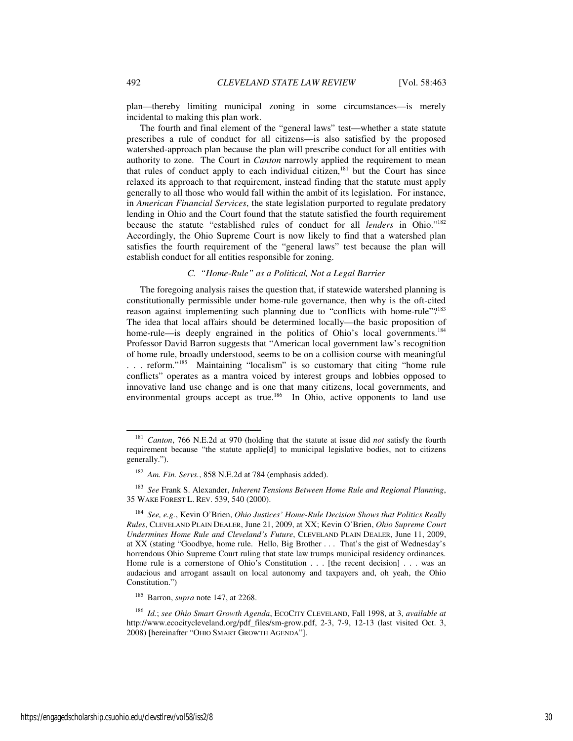plan—thereby limiting municipal zoning in some circumstances—is merely incidental to making this plan work.

The fourth and final element of the "general laws" test—whether a state statute prescribes a rule of conduct for all citizens—is also satisfied by the proposed watershed-approach plan because the plan will prescribe conduct for all entities with authority to zone. The Court in *Canton* narrowly applied the requirement to mean that rules of conduct apply to each individual citizen, $181$  but the Court has since relaxed its approach to that requirement, instead finding that the statute must apply generally to all those who would fall within the ambit of its legislation. For instance, in *American Financial Services*, the state legislation purported to regulate predatory lending in Ohio and the Court found that the statute satisfied the fourth requirement because the statute "established rules of conduct for all *lenders* in Ohio."<sup>182</sup> Accordingly, the Ohio Supreme Court is now likely to find that a watershed plan satisfies the fourth requirement of the "general laws" test because the plan will establish conduct for all entities responsible for zoning.

## *C. "Home-Rule" as a Political, Not a Legal Barrier*

The foregoing analysis raises the question that, if statewide watershed planning is constitutionally permissible under home-rule governance, then why is the oft-cited reason against implementing such planning due to "conflicts with home-rule"?<sup>183</sup> The idea that local affairs should be determined locally—the basic proposition of home-rule—is deeply engrained in the politics of Ohio's local governments.<sup>184</sup> Professor David Barron suggests that "American local government law's recognition of home rule, broadly understood, seems to be on a collision course with meaningful . . . reform."<sup>185</sup> Maintaining "localism" is so customary that citing "home rule conflicts" operates as a mantra voiced by interest groups and lobbies opposed to innovative land use change and is one that many citizens, local governments, and environmental groups accept as true.<sup>186</sup> In Ohio, active opponents to land use

<sup>181</sup> *Canton*, 766 N.E.2d at 970 (holding that the statute at issue did *not* satisfy the fourth requirement because "the statute applie[d] to municipal legislative bodies, not to citizens generally.").

<sup>182</sup> *Am. Fin. Servs.*, 858 N.E.2d at 784 (emphasis added).

<sup>183</sup> *See* Frank S. Alexander, *Inherent Tensions Between Home Rule and Regional Planning*, 35 WAKE FOREST L. REV. 539, 540 (2000).

<sup>184</sup> *See, e.g.*, Kevin O'Brien, *Ohio Justices' Home-Rule Decision Shows that Politics Really Rules*, CLEVELAND PLAIN DEALER, June 21, 2009, at XX; Kevin O'Brien, *Ohio Supreme Court Undermines Home Rule and Cleveland's Future*, CLEVELAND PLAIN DEALER, June 11, 2009, at XX (stating "Goodbye, home rule. Hello, Big Brother . . . That's the gist of Wednesday's horrendous Ohio Supreme Court ruling that state law trumps municipal residency ordinances. Home rule is a cornerstone of Ohio's Constitution . . . [the recent decision] . . . was an audacious and arrogant assault on local autonomy and taxpayers and, oh yeah, the Ohio Constitution.")

<sup>185</sup> Barron, *supra* note 147, at 2268.

<sup>186</sup> *Id.*; *see Ohio Smart Growth Agenda*, ECOCITY CLEVELAND, Fall 1998, at 3, *available at*  http://www.ecocitycleveland.org/pdf\_files/sm-grow.pdf, 2-3, 7-9, 12-13 (last visited Oct. 3, 2008) [hereinafter "OHIO SMART GROWTH AGENDA"].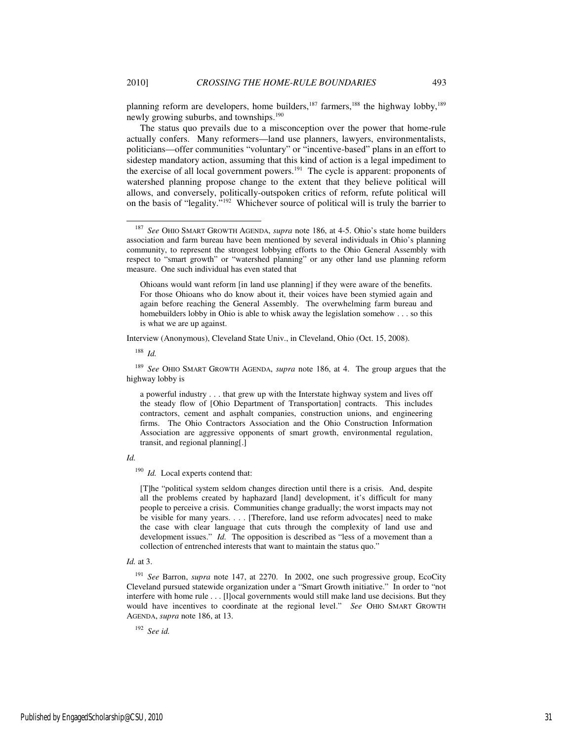planning reform are developers, home builders, $187$  farmers, $188$  the highway lobby, $189$ newly growing suburbs, and townships.<sup>190</sup>

The status quo prevails due to a misconception over the power that home-rule actually confers. Many reformers—land use planners, lawyers, environmentalists, politicians—offer communities "voluntary" or "incentive-based" plans in an effort to sidestep mandatory action, assuming that this kind of action is a legal impediment to the exercise of all local government powers.<sup>191</sup> The cycle is apparent: proponents of watershed planning propose change to the extent that they believe political will allows, and conversely, politically-outspoken critics of reform, refute political will on the basis of "legality."<sup>192</sup> Whichever source of political will is truly the barrier to

Ohioans would want reform [in land use planning] if they were aware of the benefits. For those Ohioans who do know about it, their voices have been stymied again and again before reaching the General Assembly. The overwhelming farm bureau and homebuilders lobby in Ohio is able to whisk away the legislation somehow . . . so this is what we are up against.

Interview (Anonymous), Cleveland State Univ., in Cleveland, Ohio (Oct. 15, 2008).

<sup>188</sup> *Id.* 

<sup>189</sup> *See* OHIO SMART GROWTH AGENDA, *supra* note 186, at 4. The group argues that the highway lobby is

a powerful industry . . . that grew up with the Interstate highway system and lives off the steady flow of [Ohio Department of Transportation] contracts. This includes contractors, cement and asphalt companies, construction unions, and engineering firms. The Ohio Contractors Association and the Ohio Construction Information Association are aggressive opponents of smart growth, environmental regulation, transit, and regional planning[.]

*Id.* 

<sup>190</sup> *Id.* Local experts contend that:

[T]he "political system seldom changes direction until there is a crisis. And, despite all the problems created by haphazard [land] development, it's difficult for many people to perceive a crisis. Communities change gradually; the worst impacts may not be visible for many years. . . . [Therefore, land use reform advocates] need to make the case with clear language that cuts through the complexity of land use and development issues." *Id.* The opposition is described as "less of a movement than a collection of entrenched interests that want to maintain the status quo."

## *Id.* at 3.

<sup>191</sup> *See* Barron, *supra* note 147, at 2270. In 2002, one such progressive group, EcoCity Cleveland pursued statewide organization under a "Smart Growth initiative." In order to "not interfere with home rule . . . [l]ocal governments would still make land use decisions. But they would have incentives to coordinate at the regional level." *See* OHIO SMART GROWTH AGENDA, *supra* note 186, at 13.

<sup>192</sup> *See id.* 

<sup>187</sup> *See* OHIO SMART GROWTH AGENDA, *supra* note 186, at 4-5. Ohio's state home builders association and farm bureau have been mentioned by several individuals in Ohio's planning community, to represent the strongest lobbying efforts to the Ohio General Assembly with respect to "smart growth" or "watershed planning" or any other land use planning reform measure. One such individual has even stated that